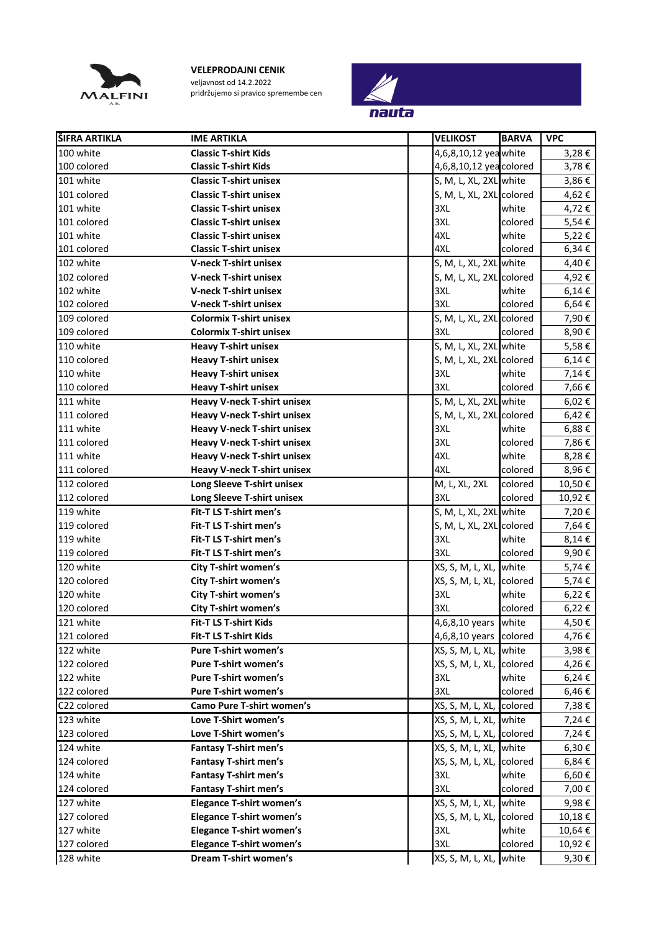

**VELEPRODAJNI CENIK** veljavnost od 14.2.2022 pridržujemo si pravico spremembe cen



| ŠIFRA ARTIKLA | <b>IME ARTIKLA</b>                 | <b>VELIKOST</b>           | <b>BARVA</b> | <b>VPC</b> |
|---------------|------------------------------------|---------------------------|--------------|------------|
| 100 white     | <b>Classic T-shirt Kids</b>        | 4,6,8,10,12 yea white     |              | 3,28€      |
| 100 colored   | <b>Classic T-shirt Kids</b>        | 4,6,8,10,12 yea colored   |              | 3,78€      |
| 101 white     | <b>Classic T-shirt unisex</b>      | S, M, L, XL, 2XL white    |              | 3,86€      |
| 101 colored   | <b>Classic T-shirt unisex</b>      | S, M, L, XL, 2XL colored  |              | 4,62€      |
| 101 white     | <b>Classic T-shirt unisex</b>      | 3XL                       | white        | 4,72€      |
| 101 colored   | <b>Classic T-shirt unisex</b>      | 3XL                       | colored      | 5,54€      |
| 101 white     | <b>Classic T-shirt unisex</b>      | 4XL                       | white        | 5,22€      |
| 101 colored   | <b>Classic T-shirt unisex</b>      | 4XL                       | colored      | 6,34€      |
| 102 white     | <b>V-neck T-shirt unisex</b>       | S, M, L, XL, 2XL white    |              | 4,40€      |
| 102 colored   | <b>V-neck T-shirt unisex</b>       | S, M, L, XL, 2XL colored  |              | 4,92€      |
| 102 white     | <b>V-neck T-shirt unisex</b>       | 3XL                       | white        | $6,14 \in$ |
| 102 colored   | <b>V-neck T-shirt unisex</b>       | 3XL                       | colored      | $6,64 \in$ |
| 109 colored   | <b>Colormix T-shirt unisex</b>     | S, M, L, XL, 2XL colored  |              | 7,90€      |
| 109 colored   | <b>Colormix T-shirt unisex</b>     | 3XL                       | colored      | 8,90€      |
| 110 white     | <b>Heavy T-shirt unisex</b>        | S, M, L, XL, 2XL white    |              | 5,58€      |
| 110 colored   | <b>Heavy T-shirt unisex</b>        | S, M, L, XL, 2XL colored  |              | $6,14 \in$ |
| 110 white     | <b>Heavy T-shirt unisex</b>        | 3XL                       | white        | 7,14€      |
| 110 colored   | <b>Heavy T-shirt unisex</b>        | 3XL                       | colored      | 7,66€      |
| 111 white     | <b>Heavy V-neck T-shirt unisex</b> | S, M, L, XL, 2XL white    |              | 6,02€      |
| 111 colored   | <b>Heavy V-neck T-shirt unisex</b> | S, M, L, XL, 2XL colored  |              | 6,42€      |
| 111 white     | <b>Heavy V-neck T-shirt unisex</b> | 3XL                       | white        | 6,88€      |
| 111 colored   | <b>Heavy V-neck T-shirt unisex</b> | 3XL                       | colored      | 7,86€      |
| 111 white     | <b>Heavy V-neck T-shirt unisex</b> | 4XL                       | white        | 8,28€      |
| 111 colored   | <b>Heavy V-neck T-shirt unisex</b> | 4XL                       | colored      | 8,96€      |
| 112 colored   | Long Sleeve T-shirt unisex         | M, L, XL, 2XL             | colored      | 10,50€     |
| 112 colored   | Long Sleeve T-shirt unisex         | 3XL                       | colored      | 10,92€     |
| 119 white     | Fit-T LS T-shirt men's             | S, M, L, XL, 2XL white    |              | 7,20€      |
| 119 colored   | Fit-T LS T-shirt men's             | S, M, L, XL, 2XL colored  |              | 7,64€      |
| 119 white     | Fit-T LS T-shirt men's             | 3XL                       | white        | 8,14€      |
| 119 colored   | Fit-T LS T-shirt men's             | 3XL                       | colored      | 9,90€      |
| 120 white     | <b>City T-shirt women's</b>        | XS, S, M, L, XL, Iwhite   |              | 5,74€      |
| 120 colored   | City T-shirt women's               | XS, S, M, L, XL, colored  |              | 5,74€      |
| 120 white     | City T-shirt women's               | 3XL                       | white        | $6,22 \in$ |
| 120 colored   | City T-shirt women's               | 3XL                       | colored      | $6,22 \in$ |
| 121 white     | Fit-T LS T-shirt Kids              | 4,6,8,10 years white      |              | $4,50$ €   |
| 121 colored   | <b>Fit-T LS T-shirt Kids</b>       | 4,6,8,10 years colored    |              | 4,76€      |
| 122 white     | <b>Pure T-shirt women's</b>        | XS, S, M, L, XL, white    |              | 3,98€      |
| 122 colored   | <b>Pure T-shirt women's</b>        | XS, S, M, L, XL, colored  |              | 4,26€      |
| 122 white     | <b>Pure T-shirt women's</b>        | 3XL                       | white        | 6,24€      |
| 122 colored   | Pure T-shirt women's               | 3XL                       | colored      | 6,46€      |
| C22 colored   | <b>Camo Pure T-shirt women's</b>   | XS, S, M, L, XL, colored  |              | 7,38€      |
| 123 white     | Love T-Shirt women's               | XS, S, M, L, XL, white    |              | 7,24€      |
| 123 colored   | Love T-Shirt women's               | XS, S, M, L, XL, Icolored |              | 7,24€      |
| 124 white     | <b>Fantasy T-shirt men's</b>       | XS, S, M, L, XL, white    |              | 6,30€      |
| 124 colored   | <b>Fantasy T-shirt men's</b>       | XS, S, M, L, XL, colored  |              | 6,84€      |
| 124 white     | Fantasy T-shirt men's              | 3XL                       | white        | 6,60€      |
| 124 colored   | <b>Fantasy T-shirt men's</b>       | 3XL                       | colored      | 7,00€      |
| 127 white     | <b>Elegance T-shirt women's</b>    | XS, S, M, L, XL, white    |              | 9,98€      |
| 127 colored   | <b>Elegance T-shirt women's</b>    | XS, S, M, L, XL, colored  |              | 10,18€     |
| 127 white     | <b>Elegance T-shirt women's</b>    | 3XL                       | white        | 10,64€     |
| 127 colored   | <b>Elegance T-shirt women's</b>    | 3XL                       | colored      | 10,92€     |
| 128 white     | Dream T-shirt women's              | XS, S, M, L, XL, white    |              | 9,30€      |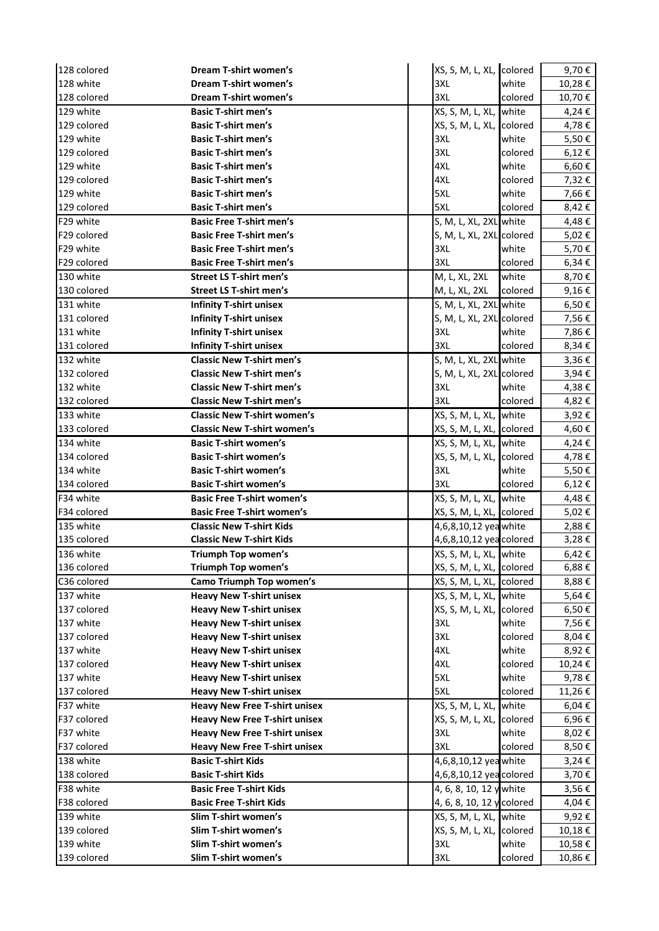| 128 colored | Dream T-shirt women's                | XS, S, M, L, XL, colored  |         | 9,70€      |
|-------------|--------------------------------------|---------------------------|---------|------------|
| 128 white   | <b>Dream T-shirt women's</b>         | 3XL                       | white   | 10,28€     |
| 128 colored | Dream T-shirt women's                | 3XL                       | colored | 10,70€     |
| 129 white   | <b>Basic T-shirt men's</b>           | XS, S, M, L, XL, white    |         | 4,24 €     |
| 129 colored | <b>Basic T-shirt men's</b>           | XS, S, M, L, XL, colored  |         | 4,78€      |
| 129 white   | <b>Basic T-shirt men's</b>           | 3XL                       | white   | 5,50€      |
| 129 colored | <b>Basic T-shirt men's</b>           | 3XL                       | colored | 6,12€      |
| 129 white   | <b>Basic T-shirt men's</b>           | 4XL                       | white   | 6,60€      |
| 129 colored | <b>Basic T-shirt men's</b>           | 4XL                       | colored | 7,32€      |
| 129 white   | <b>Basic T-shirt men's</b>           | 5XL                       | white   | 7,66€      |
| 129 colored | <b>Basic T-shirt men's</b>           | 5XL                       | colored | 8,42€      |
| F29 white   | <b>Basic Free T-shirt men's</b>      | S, M, L, XL, 2XL white    |         | 4,48€      |
| F29 colored | <b>Basic Free T-shirt men's</b>      | S, M, L, XL, 2XL colored  |         | 5,02€      |
| F29 white   | <b>Basic Free T-shirt men's</b>      | 3XL                       | white   | 5,70€      |
| F29 colored | <b>Basic Free T-shirt men's</b>      | 3XL                       | colored | 6,34€      |
| 130 white   | <b>Street LS T-shirt men's</b>       | M, L, XL, 2XL             | white   | 8,70€      |
| 130 colored | <b>Street LS T-shirt men's</b>       | M, L, XL, 2XL             | colored | 9,16€      |
| 131 white   | <b>Infinity T-shirt unisex</b>       | S, M, L, XL, 2XL white    |         | 6,50€      |
| 131 colored | <b>Infinity T-shirt unisex</b>       | S, M, L, XL, 2XL colored  |         | 7,56€      |
| 131 white   | <b>Infinity T-shirt unisex</b>       | 3XL                       | white   | 7,86€      |
| 131 colored | <b>Infinity T-shirt unisex</b>       | 3XL                       | colored | 8,34€      |
| 132 white   | <b>Classic New T-shirt men's</b>     | S, M, L, XL, 2XL white    |         | 3,36€      |
| 132 colored | <b>Classic New T-shirt men's</b>     | S, M, L, XL, 2XL colored  |         | 3,94€      |
| 132 white   | <b>Classic New T-shirt men's</b>     | 3XL                       | white   | 4,38€      |
| 132 colored | <b>Classic New T-shirt men's</b>     | 3XL                       | colored | 4,82€      |
| 133 white   | <b>Classic New T-shirt women's</b>   | XS, S, M, L, XL, white    |         | 3,92€      |
| 133 colored | <b>Classic New T-shirt women's</b>   | XS, S, M, L, XL, colored  |         | 4,60€      |
| 134 white   | <b>Basic T-shirt women's</b>         | XS, S, M, L, XL, white    |         | 4,24€      |
| 134 colored | <b>Basic T-shirt women's</b>         | XS, S, M, L, XL, colored  |         | 4,78€      |
|             |                                      |                           |         |            |
|             |                                      |                           |         |            |
| 134 white   | <b>Basic T-shirt women's</b>         | 3XL                       | white   | 5,50€      |
| 134 colored | <b>Basic T-shirt women's</b>         | 3XL                       | colored | $6,12 \in$ |
| F34 white   | <b>Basic Free T-shirt women's</b>    | XS, S, M, L, XL, Iwhite   |         | 4,48€      |
| F34 colored | <b>Basic Free T-shirt women's</b>    | XS, S, M, L, XL, colored  |         | 5,02€      |
| 135 white   | <b>Classic New T-shirt Kids</b>      | 4,6,8,10,12 yea white     |         | 2,88€      |
| 135 colored | <b>Classic New T-shirt Kids</b>      | 4,6,8,10,12 yea colored   |         | 3,28€      |
| 136 white   | <b>Triumph Top women's</b>           | XS, S, M, L, XL, white    |         | 6,42€      |
| 136 colored | Triumph Top women's                  | XS, S, M, L, XL, colored  |         | 6,88€      |
| C36 colored | Camo Triumph Top women's             | XS, S, M, L, XL, colored  |         | 8,88€      |
| 137 white   | <b>Heavy New T-shirt unisex</b>      | XS, S, M, L, XL, white    |         | 5,64 €     |
| 137 colored | <b>Heavy New T-shirt unisex</b>      | XS, S, M, L, XL, colored  |         | 6,50€      |
| 137 white   | <b>Heavy New T-shirt unisex</b>      | 3XL                       | white   | 7,56€      |
| 137 colored | <b>Heavy New T-shirt unisex</b>      | 3XL                       | colored | 8,04€      |
| 137 white   | <b>Heavy New T-shirt unisex</b>      | 4XL                       | white   | 8,92€      |
| 137 colored | <b>Heavy New T-shirt unisex</b>      | 4XL                       | colored | 10,24€     |
| 137 white   | <b>Heavy New T-shirt unisex</b>      | 5XL                       | white   | 9,78€      |
| 137 colored | <b>Heavy New T-shirt unisex</b>      | 5XL                       | colored | 11,26€     |
| F37 white   | <b>Heavy New Free T-shirt unisex</b> | XS, S, M, L, XL, white    |         | 6,04€      |
| F37 colored | <b>Heavy New Free T-shirt unisex</b> | XS, S, M, L, XL, colored  |         | 6,96€      |
| F37 white   | <b>Heavy New Free T-shirt unisex</b> | 3XL                       | white   | 8,02€      |
| F37 colored | <b>Heavy New Free T-shirt unisex</b> | 3XL                       | colored | 8,50€      |
| 138 white   | <b>Basic T-shirt Kids</b>            | 4,6,8,10,12 yea white     |         | 3,24€      |
| 138 colored | <b>Basic T-shirt Kids</b>            | 4,6,8,10,12 yea colored   |         | 3,70€      |
| F38 white   | <b>Basic Free T-shirt Kids</b>       | 4, 6, 8, 10, 12 y white   |         | 3,56€      |
| F38 colored | <b>Basic Free T-shirt Kids</b>       | 4, 6, 8, 10, 12 y colored |         | 4,04€      |
| 139 white   | Slim T-shirt women's                 | XS, S, M, L, XL, white    |         | 9,92€      |
| 139 colored | Slim T-shirt women's                 | XS, S, M, L, XL, colored  |         | 10,18€     |
| 139 white   | Slim T-shirt women's                 | 3XL<br>3XL                | white   | 10,58€     |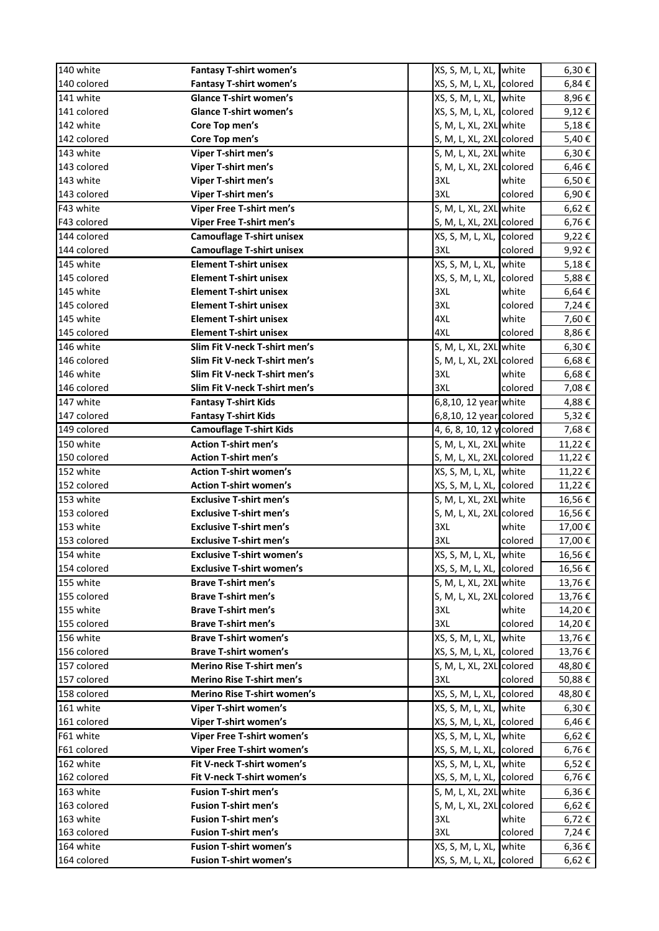| 140 white   | <b>Fantasy T-shirt women's</b>   | XS, S, M, L, XL, white    |         | $6,30 \in$ |
|-------------|----------------------------------|---------------------------|---------|------------|
| 140 colored | <b>Fantasy T-shirt women's</b>   | XS, S, M, L, XL, Icolored |         | 6,84€      |
| 141 white   | <b>Glance T-shirt women's</b>    | XS, S, M, L, XL, Iwhite   |         | 8,96€      |
| 141 colored | <b>Glance T-shirt women's</b>    | XS, S, M, L, XL, lcolored |         | 9,12€      |
| 142 white   | Core Top men's                   | S, M, L, XL, 2XL white    |         | 5,18€      |
| 142 colored | Core Top men's                   | S, M, L, XL, 2XL colored  |         | 5,40€      |
| 143 white   | Viper T-shirt men's              | S, M, L, XL, 2XL white    |         | 6,30€      |
| 143 colored | Viper T-shirt men's              | S, M, L, XL, 2XL colored  |         | 6,46€      |
| 143 white   | Viper T-shirt men's              | 3XL                       | white   | 6,50€      |
| 143 colored | Viper T-shirt men's              | 3XL                       | colored | 6,90€      |
| F43 white   | Viper Free T-shirt men's         | S, M, L, XL, 2XL white    |         | 6,62€      |
| F43 colored | Viper Free T-shirt men's         | S, M, L, XL, 2XL colored  |         | 6,76€      |
| 144 colored | <b>Camouflage T-shirt unisex</b> | XS, S, M, L, XL, colored  |         | 9,22€      |
| 144 colored | <b>Camouflage T-shirt unisex</b> | 3XL                       | colored | 9,92€      |
| 145 white   | <b>Element T-shirt unisex</b>    | XS, S, M, L, XL, Iwhite   |         | 5,18€      |
| 145 colored | <b>Element T-shirt unisex</b>    | XS, S, M, L, XL, colored  |         | 5,88€      |
| 145 white   | <b>Element T-shirt unisex</b>    | 3XL                       | white   | 6,64€      |
| 145 colored | <b>Element T-shirt unisex</b>    | 3XL                       | colored | 7,24€      |
| 145 white   | <b>Element T-shirt unisex</b>    | 4XL                       | white   | 7,60€      |
| 145 colored | <b>Element T-shirt unisex</b>    | 4XL                       | colored | 8,86€      |
| 146 white   | Slim Fit V-neck T-shirt men's    | S, M, L, XL, 2XL white    |         | $6,30 \in$ |
| 146 colored | Slim Fit V-neck T-shirt men's    | S, M, L, XL, 2XL colored  |         | 6,68€      |
| 146 white   | Slim Fit V-neck T-shirt men's    | 3XL                       | white   | 6,68€      |
| 146 colored | Slim Fit V-neck T-shirt men's    | 3XL                       | colored | 7,08€      |
| 147 white   | <b>Fantasy T-shirt Kids</b>      | 6,8,10, 12 years white    |         | 4,88€      |
| 147 colored | <b>Fantasy T-shirt Kids</b>      | 6,8,10, 12 years colored  |         | 5,32€      |
| 149 colored | <b>Camouflage T-shirt Kids</b>   | 4, 6, 8, 10, 12 y colored |         | 7,68€      |
| 150 white   | <b>Action T-shirt men's</b>      | S, M, L, XL, 2XL white    |         | 11,22€     |
| 150 colored | <b>Action T-shirt men's</b>      | S, M, L, XL, 2XL colored  |         | 11,22€     |
| 152 white   | <b>Action T-shirt women's</b>    | XS, S, M, L, XL, white    |         | 11,22€     |
| 152 colored | <b>Action T-shirt women's</b>    | XS, S, M, L, XL, colored  |         | 11,22€     |
| 153 white   | <b>Exclusive T-shirt men's</b>   | S, M, L, XL, 2XL white    |         | 16,56€     |
| 153 colored | <b>Exclusive T-shirt men's</b>   | S, M, L, XL, 2XL colored  |         | 16,56€     |
| 153 white   | <b>Exclusive T-shirt men's</b>   | 3XL                       | white   | 17,00€     |
| 153 colored | <b>Exclusive T-shirt men's</b>   | 3XL                       | colored | 17,00 €    |
| 154 white   | <b>Exclusive T-shirt women's</b> | XS, S, M, L, XL, white    |         | 16,56€     |
| 154 colored | <b>Exclusive T-shirt women's</b> | XS, S, M, L, XL, colored  |         | 16,56€     |
| 155 white   | <b>Brave T-shirt men's</b>       | S, M, L, XL, 2XL white    |         | 13,76€     |
| 155 colored | <b>Brave T-shirt men's</b>       | S, M, L, XL, 2XL colored  |         | 13,76€     |
| 155 white   | <b>Brave T-shirt men's</b>       | 3XL                       | white   | 14,20€     |
| 155 colored | <b>Brave T-shirt men's</b>       | 3XL                       | colored | 14,20€     |
| 156 white   | <b>Brave T-shirt women's</b>     | XS, S, M, L, XL, white    |         | 13,76€     |
| 156 colored | <b>Brave T-shirt women's</b>     | XS, S, M, L, XL, colored  |         | 13,76€     |
| 157 colored | <b>Merino Rise T-shirt men's</b> | S, M, L, XL, 2XL colored  |         | 48,80€     |
| 157 colored | Merino Rise T-shirt men's        | 3XL                       | colored | 50,88€     |
| 158 colored | Merino Rise T-shirt women's      | XS, S, M, L, XL, colored  |         | 48,80€     |
| 161 white   | Viper T-shirt women's            | XS, S, M, L, XL, white    |         | $6,30 \in$ |
| 161 colored | Viper T-shirt women's            | XS, S, M, L, XL, colored  |         | 6,46€      |
| F61 white   | Viper Free T-shirt women's       | XS, S, M, L, XL, white    |         | 6,62€      |
| F61 colored | Viper Free T-shirt women's       | XS, S, M, L, XL, colored  |         | 6,76€      |
| 162 white   | Fit V-neck T-shirt women's       | XS, S, M, L, XL, white    |         | 6,52€      |
| 162 colored | Fit V-neck T-shirt women's       | XS, S, M, L, XL, colored  |         | 6,76€      |
| 163 white   | <b>Fusion T-shirt men's</b>      | S, M, L, XL, 2XL white    |         | 6,36€      |
| 163 colored | <b>Fusion T-shirt men's</b>      | S, M, L, XL, 2XL colored  |         | 6,62€      |
| 163 white   | <b>Fusion T-shirt men's</b>      | 3XL                       | white   | 6,72€      |
| 163 colored | <b>Fusion T-shirt men's</b>      | 3XL                       | colored | 7,24 €     |
| 164 white   | <b>Fusion T-shirt women's</b>    | XS, S, M, L, XL, white    |         | 6,36€      |
| 164 colored | <b>Fusion T-shirt women's</b>    | XS, S, M, L, XL, Icolored |         | 6,62€      |
|             |                                  |                           |         |            |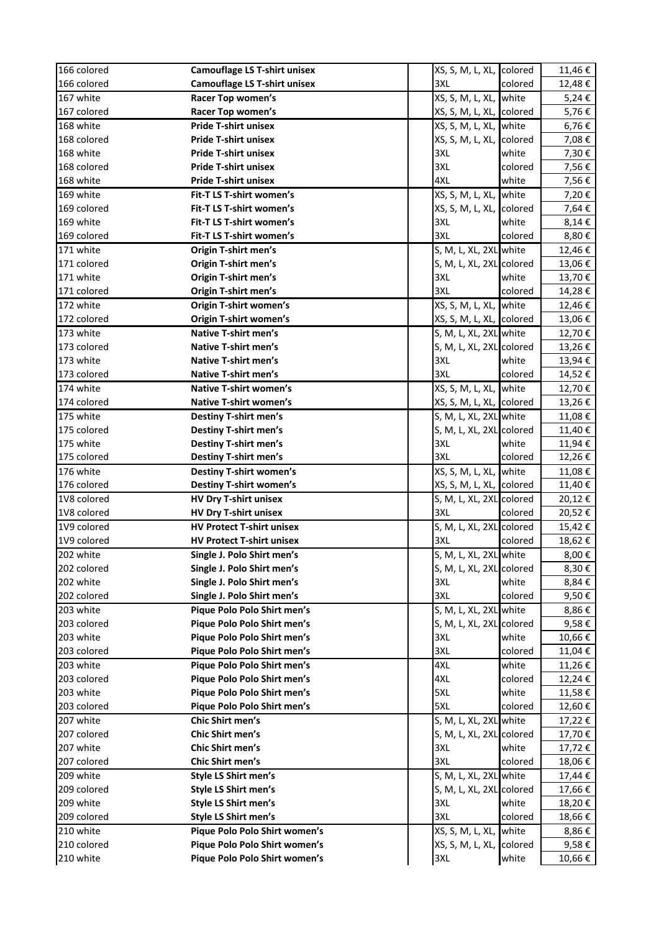| 166 colored              | <b>Camouflage LS T-shirt unisex</b> | XS, S, M, L, XL, colored  |         | 11,46€           |
|--------------------------|-------------------------------------|---------------------------|---------|------------------|
| 166 colored              | <b>Camouflage LS T-shirt unisex</b> | 3XL                       | colored | 12,48€           |
| 167 white                | Racer Top women's                   | XS, S, M, L, XL, Iwhite   |         | 5,24€            |
| 167 colored              | Racer Top women's                   | XS, S, M, L, XL, Icolored |         | 5,76€            |
| 168 white                | <b>Pride T-shirt unisex</b>         | XS, S, M, L, XL, Iwhite   |         | 6,76€            |
| 168 colored              | <b>Pride T-shirt unisex</b>         | XS, S, M, L, XL, Icolored |         | 7,08€            |
| 168 white                | <b>Pride T-shirt unisex</b>         | 3XL                       | white   | 7,30€            |
| 168 colored              | <b>Pride T-shirt unisex</b>         | 3XL                       | colored | 7,56€            |
| 168 white                | <b>Pride T-shirt unisex</b>         | 4XL                       | white   | 7,56€            |
| 169 white                | Fit-T LS T-shirt women's            | XS, S, M, L, XL, white    |         | 7,20€            |
| 169 colored              | Fit-T LS T-shirt women's            | XS, S, M, L, XL, colored  |         | 7,64€            |
| 169 white                | Fit-T LS T-shirt women's            | 3XL                       | white   | 8,14€            |
| 169 colored              | Fit-T LS T-shirt women's            | 3XL                       | colored | 8,80€            |
| 171 white                | Origin T-shirt men's                | S, M, L, XL, 2XL white    |         | 12,46€           |
| 171 colored              | Origin T-shirt men's                | S, M, L, XL, 2XL colored  |         | 13,06€           |
| 171 white                | Origin T-shirt men's                | 3XL                       | white   | 13,70€           |
| 171 colored              | Origin T-shirt men's                | 3XL                       | colored | 14,28€           |
| 172 white                | <b>Origin T-shirt women's</b>       | XS, S, M, L, XL, Iwhite   |         | 12,46€           |
| 172 colored              | <b>Origin T-shirt women's</b>       | XS, S, M, L, XL, colored  |         | 13,06€           |
| 173 white                | <b>Native T-shirt men's</b>         | S, M, L, XL, 2XL white    |         | 12,70€           |
| 173 colored              | Native T-shirt men's                | S, M, L, XL, 2XL colored  |         |                  |
| 173 white                | Native T-shirt men's                | 3XL                       | white   | 13,26€<br>13,94€ |
|                          | <b>Native T-shirt men's</b>         | 3XL                       |         |                  |
| 173 colored<br>174 white | <b>Native T-shirt women's</b>       |                           | colored | 14,52€           |
|                          |                                     | XS, S, M, L, XL, white    |         | 12,70€           |
| 174 colored              | <b>Native T-shirt women's</b>       | XS, S, M, L, XL, colored  |         | 13,26€           |
| 175 white                | <b>Destiny T-shirt men's</b>        | S, M, L, XL, 2XL white    |         | 11,08€           |
| 175 colored              | <b>Destiny T-shirt men's</b>        | S, M, L, XL, 2XL colored  |         | 11,40€           |
| 175 white                | <b>Destiny T-shirt men's</b>        | 3XL                       | white   | 11,94€           |
| 175 colored              | <b>Destiny T-shirt men's</b>        | 3XL                       | colored | 12,26€           |
| 176 white                | <b>Destiny T-shirt women's</b>      | XS, S, M, L, XL, Iwhite   |         | 11,08€           |
| 176 colored              | <b>Destiny T-shirt women's</b>      | XS, S, M, L, XL, Icolored |         | 11,40€           |
| 1V8 colored              | <b>HV Dry T-shirt unisex</b>        | S, M, L, XL, 2XL colored  |         | 20,12€           |
| 1V8 colored              | HV Dry T-shirt unisex               | 3XL                       | colored | 20,52€           |
| 1V9 colored              | <b>HV Protect T-shirt unisex</b>    | S, M, L, XL, 2XL colored  |         | 15,42€           |
| 1V9 colored              | <b>HV Protect T-shirt unisex</b>    | 3XL                       | colored | 18,62€           |
| 202 white                | Single J. Polo Shirt men's          | S, M, L, XL, 2XL white    |         | 8,00€            |
| 202 colored              | Single J. Polo Shirt men's          | S, M, L, XL, 2XL colored  |         | 8,30€            |
| 202 white                | Single J. Polo Shirt men's          | 3XL                       | white   | 8,84€            |
| 202 colored              | Single J. Polo Shirt men's          | 3XL                       | colored | 9,50€            |
| 203 white                | Pique Polo Polo Shirt men's         | S, M, L, XL, 2XL white    |         | 8,86€            |
| 203 colored              | Pique Polo Polo Shirt men's         | S, M, L, XL, 2XL colored  |         | 9,58€            |
| 203 white                | Pique Polo Polo Shirt men's         | 3XL                       | white   | 10,66€           |
| 203 colored              | Pique Polo Polo Shirt men's         | 3XL                       | colored | 11,04€           |
| 203 white                | Pique Polo Polo Shirt men's         | 4XL                       | white   | 11,26€           |
| 203 colored              | Pique Polo Polo Shirt men's         | 4XL                       | colored | 12,24€           |
| 203 white                | Pique Polo Polo Shirt men's         | 5XL                       | white   | 11,58€           |
| 203 colored              | Pique Polo Polo Shirt men's         | 5XL                       | colored | 12,60 €          |
| 207 white                | Chic Shirt men's                    | S, M, L, XL, 2XL white    |         | 17,22€           |
| 207 colored              | Chic Shirt men's                    | S, M, L, XL, 2XL colored  |         | 17,70€           |
| 207 white                | Chic Shirt men's                    | 3XL                       | white   | 17,72€           |
| 207 colored              | Chic Shirt men's                    | 3XL                       | colored | 18,06€           |
| 209 white                | Style LS Shirt men's                | S, M, L, XL, 2XL white    |         | 17,44€           |
| 209 colored              | Style LS Shirt men's                | S, M, L, XL, 2XL colored  |         | 17,66€           |
| 209 white                | Style LS Shirt men's                | 3XL                       | white   | 18,20€           |
| 209 colored              | Style LS Shirt men's                | 3XL                       | colored | 18,66€           |
| 210 white                | Pique Polo Polo Shirt women's       | XS, S, M, L, XL, white    |         | 8,86€            |
| 210 colored              | Pique Polo Polo Shirt women's       | XS, S, M, L, XL, colored  |         | 9,58€            |
| 210 white                | Pique Polo Polo Shirt women's       | 3XL                       | white   | 10,66 €          |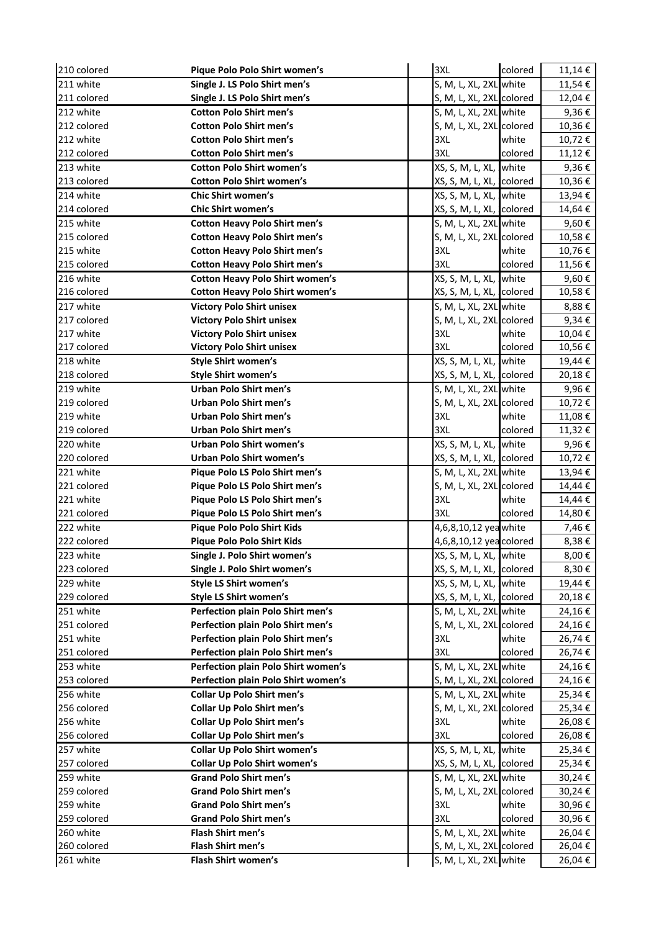| 210 colored | Pique Polo Polo Shirt women's          | 3XL                       | colored | 11,14€          |
|-------------|----------------------------------------|---------------------------|---------|-----------------|
| 211 white   | Single J. LS Polo Shirt men's          | S, M, L, XL, 2XL white    |         | 11,54 €         |
| 211 colored | Single J. LS Polo Shirt men's          | S, M, L, XL, 2XL colored  |         | 12,04 €         |
| 212 white   | <b>Cotton Polo Shirt men's</b>         | S, M, L, XL, 2XL white    |         | $9,36 \in$      |
| 212 colored | <b>Cotton Polo Shirt men's</b>         | S, M, L, XL, 2XL colored  |         | 10,36€          |
| 212 white   | <b>Cotton Polo Shirt men's</b>         | 3XL                       | white   | 10,72€          |
| 212 colored | <b>Cotton Polo Shirt men's</b>         | 3XL                       | colored | 11,12€          |
| 213 white   | <b>Cotton Polo Shirt women's</b>       | XS, S, M, L, XL, white    |         | 9,36€           |
| 213 colored | <b>Cotton Polo Shirt women's</b>       | XS, S, M, L, XL, Icolored |         | 10,36€          |
| 214 white   | <b>Chic Shirt women's</b>              | XS, S, M, L, XL, Iwhite   |         | 13,94€          |
| 214 colored | <b>Chic Shirt women's</b>              | XS, S, M, L, XL, colored  |         | 14,64€          |
| 215 white   | <b>Cotton Heavy Polo Shirt men's</b>   | S, M, L, XL, 2XL white    |         | 9,60€           |
| 215 colored | <b>Cotton Heavy Polo Shirt men's</b>   | S, M, L, XL, 2XL colored  |         | 10,58€          |
| 215 white   | <b>Cotton Heavy Polo Shirt men's</b>   | 3XL                       | white   | 10,76€          |
| 215 colored | <b>Cotton Heavy Polo Shirt men's</b>   | 3XL                       | colored | 11,56 €         |
| 216 white   | <b>Cotton Heavy Polo Shirt women's</b> | XS, S, M, L, XL, Iwhite   |         | 9,60 $\epsilon$ |
| 216 colored | <b>Cotton Heavy Polo Shirt women's</b> | XS, S, M, L, XL, Icolored |         | 10,58€          |
| 217 white   | <b>Victory Polo Shirt unisex</b>       | S, M, L, XL, 2XL white    |         | 8,88€           |
| 217 colored | <b>Victory Polo Shirt unisex</b>       | S, M, L, XL, 2XL colored  |         | 9,34€           |
| 217 white   | <b>Victory Polo Shirt unisex</b>       | 3XL                       | white   | 10,04€          |
| 217 colored | <b>Victory Polo Shirt unisex</b>       | 3XL                       | colored | 10,56€          |
| 218 white   | <b>Style Shirt women's</b>             | XS, S, M, L, XL, white    |         | 19,44€          |
| 218 colored | <b>Style Shirt women's</b>             | XS, S, M, L, XL, colored  |         | 20,18€          |
| 219 white   | <b>Urban Polo Shirt men's</b>          | S, M, L, XL, 2XL white    |         | 9,96€           |
| 219 colored | Urban Polo Shirt men's                 | S, M, L, XL, 2XL colored  |         | 10,72€          |
| 219 white   | <b>Urban Polo Shirt men's</b>          | 3XL                       | white   | 11,08 €         |
| 219 colored | <b>Urban Polo Shirt men's</b>          | 3XL                       | colored | 11,32 €         |
| 220 white   | Urban Polo Shirt women's               | XS, S, M, L, XL, white    |         | 9,96€           |
| 220 colored | Urban Polo Shirt women's               | XS, S, M, L, XL, colored  |         | 10,72€          |
| 221 white   | Pique Polo LS Polo Shirt men's         | S, M, L, XL, 2XL white    |         | 13,94€          |
| 221 colored | Pique Polo LS Polo Shirt men's         | S, M, L, XL, 2XL colored  |         | 14,44€          |
| 221 white   | Pique Polo LS Polo Shirt men's         | 3XL                       | white   | 14,44 €         |
| 221 colored | Pique Polo LS Polo Shirt men's         | 3XL                       | colored | 14,80€          |
| 222 white   | Pique Polo Polo Shirt Kids             | 4,6,8,10,12 yea white     |         | 7,46 €          |
| 222 colored | Pique Polo Polo Shirt Kids             | 4,6,8,10,12 yea colored   |         | 8,38€           |
| 223 white   | Single J. Polo Shirt women's           | XS, S, M, L, XL, white    |         | 8,00€           |
| 223 colored | Single J. Polo Shirt women's           | XS, S, M, L, XL, colored  |         | 8,30€           |
| 229 white   | <b>Style LS Shirt women's</b>          | XS, S, M, L, XL, white    |         | 19,44€          |
| 229 colored | <b>Style LS Shirt women's</b>          | XS, S, M, L, XL, Icolored |         | 20,18€          |
| 251 white   | Perfection plain Polo Shirt men's      | S, M, L, XL, 2XL white    |         | 24,16€          |
| 251 colored | Perfection plain Polo Shirt men's      | S, M, L, XL, 2XL colored  |         | 24,16€          |
| 251 white   | Perfection plain Polo Shirt men's      | 3XL                       | white   | 26,74€          |
| 251 colored | Perfection plain Polo Shirt men's      | 3XL                       | colored | 26,74€          |
| 253 white   | Perfection plain Polo Shirt women's    | S, M, L, XL, 2XL white    |         | 24,16€          |
| 253 colored | Perfection plain Polo Shirt women's    | S, M, L, XL, 2XL colored  |         | 24,16€          |
| 256 white   | <b>Collar Up Polo Shirt men's</b>      | S, M, L, XL, 2XL white    |         | 25,34€          |
| 256 colored | <b>Collar Up Polo Shirt men's</b>      | S, M, L, XL, 2XL colored  |         | 25,34€          |
| 256 white   | <b>Collar Up Polo Shirt men's</b>      | 3XL                       | white   | 26,08€          |
| 256 colored | <b>Collar Up Polo Shirt men's</b>      | 3XL                       | colored | 26,08€          |
| 257 white   | <b>Collar Up Polo Shirt women's</b>    | XS, S, M, L, XL, white    |         | 25,34€          |
| 257 colored | <b>Collar Up Polo Shirt women's</b>    | XS, S, M, L, XL, Icolored |         | 25,34€          |
| 259 white   | <b>Grand Polo Shirt men's</b>          | S, M, L, XL, 2XL white    |         | 30,24€          |
| 259 colored | <b>Grand Polo Shirt men's</b>          | S, M, L, XL, 2XL colored  |         | 30,24€          |
| 259 white   | <b>Grand Polo Shirt men's</b>          | 3XL                       | white   | 30,96€          |
| 259 colored | <b>Grand Polo Shirt men's</b>          | 3XL                       | colored | 30,96€          |
| 260 white   | Flash Shirt men's                      | S, M, L, XL, 2XL white    |         | 26,04€          |
| 260 colored | Flash Shirt men's                      | S, M, L, XL, 2XL colored  |         | 26,04€          |
| 261 white   | Flash Shirt women's                    | S, M, L, XL, 2XL white    |         | 26,04€          |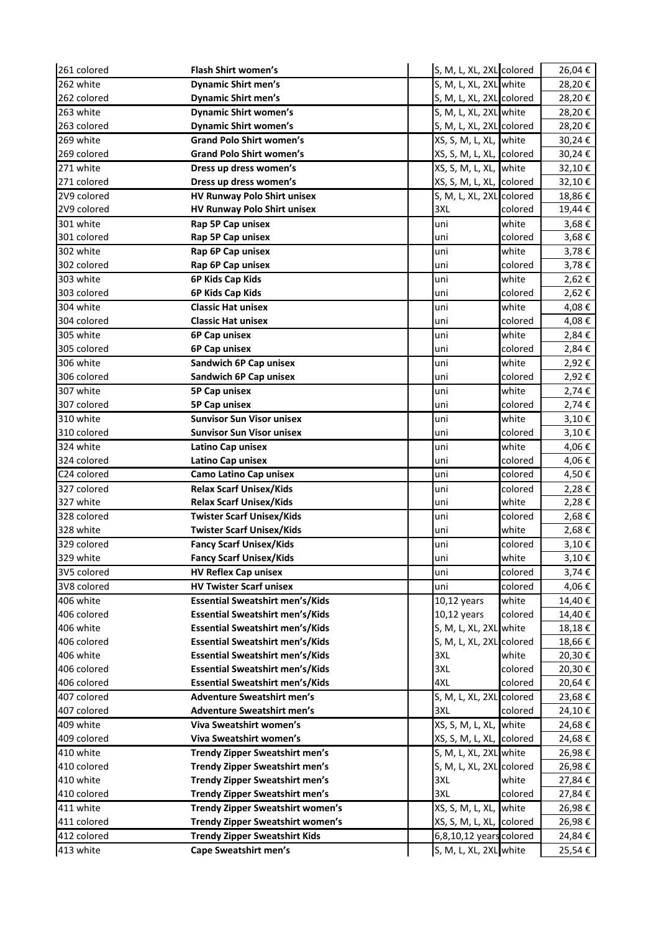| 261 colored              | Flash Shirt women's                                                | S, M, L, XL, 2XL colored  |                  | 26,04€         |
|--------------------------|--------------------------------------------------------------------|---------------------------|------------------|----------------|
| 262 white                | <b>Dynamic Shirt men's</b>                                         | S, M, L, XL, 2XL white    |                  | 28,20€         |
| 262 colored              | <b>Dynamic Shirt men's</b>                                         | S, M, L, XL, 2XL colored  |                  | 28,20€         |
| 263 white                | <b>Dynamic Shirt women's</b>                                       | S, M, L, XL, 2XL white    |                  | 28,20€         |
| 263 colored              | <b>Dynamic Shirt women's</b>                                       | S, M, L, XL, 2XL colored  |                  | 28,20€         |
| 269 white                | <b>Grand Polo Shirt women's</b>                                    | XS, S, M, L, XL, white    |                  | 30,24€         |
| 269 colored              | <b>Grand Polo Shirt women's</b>                                    | XS, S, M, L, XL, Icolored |                  | 30,24€         |
| 271 white                | Dress up dress women's                                             | XS, S, M, L, XL, white    |                  | 32,10€         |
| 271 colored              | Dress up dress women's                                             | XS, S, M, L, XL, Icolored |                  | 32,10€         |
| 2V9 colored              | HV Runway Polo Shirt unisex                                        | S, M, L, XL, 2XL colored  |                  | 18,86€         |
| 2V9 colored              | <b>HV Runway Polo Shirt unisex</b>                                 | 3XL                       | colored          | 19,44€         |
| 301 white                | Rap 5P Cap unisex                                                  | uni                       | white            | 3,68€          |
| 301 colored              | Rap 5P Cap unisex                                                  | uni                       | colored          | 3,68€          |
| 302 white                | Rap 6P Cap unisex                                                  | uni                       | white            | 3,78€          |
| 302 colored              | Rap 6P Cap unisex                                                  | uni                       | colored          | 3,78€          |
| 303 white                | 6P Kids Cap Kids                                                   | uni                       | white            | 2,62€          |
| 303 colored              | 6P Kids Cap Kids                                                   | uni                       | colored          | 2,62€          |
| 304 white                | <b>Classic Hat unisex</b>                                          | uni                       | white            | 4,08€          |
| 304 colored              | <b>Classic Hat unisex</b>                                          | uni                       | colored          | 4,08€          |
| 305 white                | 6P Cap unisex                                                      | uni                       | white            | 2,84€          |
| 305 colored              | 6P Cap unisex                                                      | uni                       | colored          | 2,84€          |
| 306 white                | Sandwich 6P Cap unisex                                             | uni                       | white            | 2,92€          |
| 306 colored              | Sandwich 6P Cap unisex                                             | uni                       | colored          | 2,92€          |
| 307 white                | 5P Cap unisex                                                      | uni                       | white            | 2,74€          |
| 307 colored              | 5P Cap unisex                                                      | uni                       | colored          | 2,74€          |
| 310 white                | <b>Sunvisor Sun Visor unisex</b>                                   | uni                       | white            | 3,10€          |
| 310 colored              | <b>Sunvisor Sun Visor unisex</b>                                   | uni                       | colored          | $3,10 \in$     |
| 324 white                | Latino Cap unisex                                                  | uni                       | white            | 4,06€          |
| 324 colored              | Latino Cap unisex                                                  | uni                       | colored          | 4,06€          |
| C24 colored              | <b>Camo Latino Cap unisex</b>                                      | uni                       | colored          | 4,50€          |
| 327 colored              | <b>Relax Scarf Unisex/Kids</b>                                     | uni                       | colored          | 2,28€          |
| 327 white                | <b>Relax Scarf Unisex/Kids</b>                                     | uni                       | white            | 2,28€          |
| 328 colored<br>328 white | <b>Twister Scarf Unisex/Kids</b>                                   | uni                       | colored<br>white | 2,68€          |
| 329 colored              | <b>Twister Scarf Unisex/Kids</b><br><b>Fancy Scarf Unisex/Kids</b> | uni<br>uni                | colored          | 2,68€<br>3,10€ |
| 329 white                | <b>Fancy Scarf Unisex/Kids</b>                                     |                           | white            | 3,10€          |
| 3V5 colored              | <b>HV Reflex Cap unisex</b>                                        | uni<br>uni                | colored          | 3,74€          |
| 3V8 colored              | <b>HV Twister Scarf unisex</b>                                     | uni                       | colored          | 4,06 €         |
| 406 white                | <b>Essential Sweatshirt men's/Kids</b>                             | 10,12 years               | white            | 14,40€         |
| 406 colored              | <b>Essential Sweatshirt men's/Kids</b>                             | 10,12 years               | colored          | 14,40 €        |
| 406 white                | <b>Essential Sweatshirt men's/Kids</b>                             | S, M, L, XL, 2XL white    |                  | 18,18€         |
| 406 colored              | <b>Essential Sweatshirt men's/Kids</b>                             | S, M, L, XL, 2XL colored  |                  | 18,66€         |
| 406 white                | <b>Essential Sweatshirt men's/Kids</b>                             | 3XL                       | white            | 20,30€         |
| 406 colored              | <b>Essential Sweatshirt men's/Kids</b>                             | 3XL                       | colored          | 20,30€         |
| 406 colored              | <b>Essential Sweatshirt men's/Kids</b>                             | 4XL                       | colored          | 20,64€         |
| 407 colored              | <b>Adventure Sweatshirt men's</b>                                  | S, M, L, XL, 2XL colored  |                  | 23,68€         |
| 407 colored              | <b>Adventure Sweatshirt men's</b>                                  | 3XL                       | colored          | 24,10€         |
| 409 white                | Viva Sweatshirt women's                                            | XS, S, M, L, XL, white    |                  | 24,68€         |
| 409 colored              | Viva Sweatshirt women's                                            | XS, S, M, L, XL, Icolored |                  | 24,68€         |
| 410 white                | <b>Trendy Zipper Sweatshirt men's</b>                              | S, M, L, XL, 2XL white    |                  | 26,98€         |
| 410 colored              | <b>Trendy Zipper Sweatshirt men's</b>                              | S, M, L, XL, 2XL colored  |                  | 26,98€         |
| 410 white                | <b>Trendy Zipper Sweatshirt men's</b>                              | 3XL                       | white            | 27,84€         |
| 410 colored              | <b>Trendy Zipper Sweatshirt men's</b>                              | 3XL                       | colored          | 27,84€         |
| 411 white                | Trendy Zipper Sweatshirt women's                                   | XS, S, M, L, XL, white    |                  | 26,98€         |
| 411 colored              | Trendy Zipper Sweatshirt women's                                   | XS, S, M, L, XL, Icolored |                  | 26,98€         |
| 412 colored              | <b>Trendy Zipper Sweatshirt Kids</b>                               | 6,8,10,12 years colored   |                  | 24,84€         |
| 413 white                | <b>Cape Sweatshirt men's</b>                                       | S, M, L, XL, 2XL white    |                  | 25,54€         |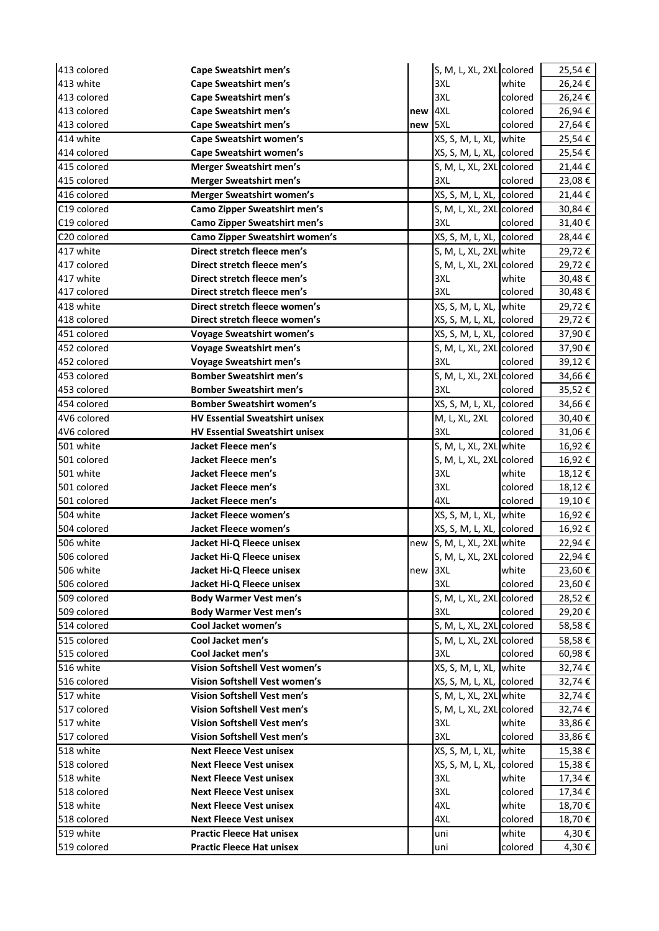| 413 colored              | Cape Sweatshirt men's                                            |     | S, M, L, XL, 2XL colored        |                  | 25,54€           |
|--------------------------|------------------------------------------------------------------|-----|---------------------------------|------------------|------------------|
| 413 white                | <b>Cape Sweatshirt men's</b>                                     |     | 3XL                             | white            | 26,24€           |
| 413 colored              | <b>Cape Sweatshirt men's</b>                                     |     | 3XL                             | colored          | 26,24€           |
| 413 colored              | <b>Cape Sweatshirt men's</b>                                     | new | 4XL                             | colored          | 26,94€           |
| 413 colored              | <b>Cape Sweatshirt men's</b>                                     | new | 5XL                             | colored          | 27,64€           |
| 414 white                | <b>Cape Sweatshirt women's</b>                                   |     | XS, S, M, L, XL, Iwhite         |                  | 25,54€           |
| 414 colored              | <b>Cape Sweatshirt women's</b>                                   |     | XS, S, M, L, XL, lcolored       |                  | 25,54€           |
| 415 colored              | <b>Merger Sweatshirt men's</b>                                   |     | S, M, L, XL, 2XL colored        |                  | 21,44€           |
| 415 colored              | <b>Merger Sweatshirt men's</b>                                   |     | 3XL                             | colored          | 23,08€           |
| 416 colored              | <b>Merger Sweatshirt women's</b>                                 |     | XS, S, M, L, XL, colored        |                  | 21,44€           |
| C19 colored              | <b>Camo Zipper Sweatshirt men's</b>                              |     | S, M, L, XL, 2XL colored        |                  | 30,84€           |
| C19 colored              | <b>Camo Zipper Sweatshirt men's</b>                              |     | 3XL                             | colored          | 31,40€           |
| C20 colored              | <b>Camo Zipper Sweatshirt women's</b>                            |     | XS, S, M, L, XL, colored        |                  | 28,44€           |
| 417 white                | Direct stretch fleece men's                                      |     | S, M, L, XL, 2XL white          |                  | 29,72€           |
| 417 colored              | Direct stretch fleece men's                                      |     | S, M, L, XL, 2XL colored        |                  | 29,72€           |
| 417 white                | Direct stretch fleece men's                                      |     | 3XL                             | white            | 30,48€           |
| 417 colored              | Direct stretch fleece men's                                      |     | 3XL                             | colored          | 30,48€           |
| 418 white                | Direct stretch fleece women's                                    |     | XS, S, M, L, XL, white          |                  | 29,72€           |
| 418 colored              | Direct stretch fleece women's                                    |     | XS, S, M, L, XL, Icolored       |                  | 29,72€           |
| 451 colored              | <b>Voyage Sweatshirt women's</b>                                 |     | XS, S, M, L, XL, colored        |                  | 37,90€           |
| 452 colored              | <b>Voyage Sweatshirt men's</b>                                   |     | S, M, L, XL, 2XL colored        |                  | 37,90€           |
| 452 colored              | <b>Voyage Sweatshirt men's</b>                                   |     | 3XL                             | colored          | 39,12€           |
| 453 colored              | <b>Bomber Sweatshirt men's</b>                                   |     | S, M, L, XL, 2XL colored        |                  | 34,66€           |
| 453 colored              | <b>Bomber Sweatshirt men's</b>                                   |     | 3XL                             | colored          | 35,52€           |
| 454 colored              | <b>Bomber Sweatshirt women's</b>                                 |     | XS, S, M, L, XL, Icolored       |                  | 34,66€           |
| 4V6 colored              | <b>HV Essential Sweatshirt unisex</b>                            |     | M, L, XL, 2XL                   | colored          | 30,40€           |
| 4V6 colored              | <b>HV Essential Sweatshirt unisex</b>                            |     | 3XL                             | colored          | 31,06€           |
| 501 white                | Jacket Fleece men's                                              |     | S, M, L, XL, 2XL white          |                  | 16,92€           |
| 501 colored              | Jacket Fleece men's                                              |     | S, M, L, XL, 2XL colored        |                  | 16,92€           |
| 501 white                | Jacket Fleece men's                                              |     | 3XL                             | white            | 18,12€           |
| 501 colored              | Jacket Fleece men's                                              |     | 3XL                             | colored          | 18,12€           |
| 501 colored              | Jacket Fleece men's                                              |     | 4XL                             | colored          | 19,10€           |
| 504 white                | <b>Jacket Fleece women's</b>                                     |     | XS, S, M, L, XL, Iwhite         |                  | 16,92€           |
| 504 colored              | Jacket Fleece women's                                            |     | XS, S, M, L, XL, colored        |                  | 16,92€           |
| 506 white                | Jacket Hi-Q Fleece unisex                                        | new | S, M, L, XL, 2XL white          |                  | 22,94€           |
| 506 colored              | Jacket Hi-Q Fleece unisex                                        |     | S, M, L, XL, 2XL colored        |                  | 22,94€           |
| 506 white                | Jacket Hi-Q Fleece unisex                                        | new | 3XL                             | white            | 23,60€           |
| 506 colored              | Jacket Hi-Q Fleece unisex                                        |     | 3XL                             | colored          | 23,60€           |
| 509 colored              | <b>Body Warmer Vest men's</b>                                    |     | S, M, L, XL, 2XL colored        |                  | 28,52€           |
| 509 colored              | <b>Body Warmer Vest men's</b>                                    |     | 3XL                             | colored          | 29,20€           |
| 514 colored              | Cool Jacket women's                                              |     | S, M, L, XL, 2XL colored        |                  | 58,58€           |
| 515 colored              | Cool Jacket men's                                                |     | S, M, L, XL, 2XL colored        |                  | 58,58€           |
| 515 colored              | Cool Jacket men's                                                |     | 3XL                             | colored          | 60,98€           |
| 516 white                | Vision Softshell Vest women's                                    |     | XS, S, M, L, XL, white          |                  | 32,74€           |
| 516 colored              | Vision Softshell Vest women's                                    |     | XS, S, M, L, XL, Icolored       |                  | 32,74€           |
| 517 white                | Vision Softshell Vest men's                                      |     | S, M, L, XL, 2XL white          |                  | 32,74€           |
| 517 colored              | Vision Softshell Vest men's                                      |     | S, M, L, XL, 2XL colored        |                  | 32,74€           |
| 517 white                | Vision Softshell Vest men's                                      |     | 3XL                             | white            | 33,86€           |
| 517 colored              | Vision Softshell Vest men's                                      |     | 3XL                             | colored          | 33,86€           |
| 518 white                | <b>Next Fleece Vest unisex</b>                                   |     | XS, S, M, L, XL, white          |                  | 15,38€           |
| 518 colored              | <b>Next Fleece Vest unisex</b><br><b>Next Fleece Vest unisex</b> |     | XS, S, M, L, XL, colored<br>3XL |                  | 15,38€           |
| 518 white<br>518 colored | <b>Next Fleece Vest unisex</b>                                   |     | 3XL                             | white<br>colored | 17,34€<br>17,34€ |
| 518 white                | <b>Next Fleece Vest unisex</b>                                   |     | 4XL                             | white            | 18,70€           |
| 518 colored              | <b>Next Fleece Vest unisex</b>                                   |     | 4XL                             | colored          | 18,70€           |
| 519 white                | <b>Practic Fleece Hat unisex</b>                                 |     | uni                             | white            | 4,30€            |
| 519 colored              | <b>Practic Fleece Hat unisex</b>                                 |     | uni                             | colored          | 4,30€            |
|                          |                                                                  |     |                                 |                  |                  |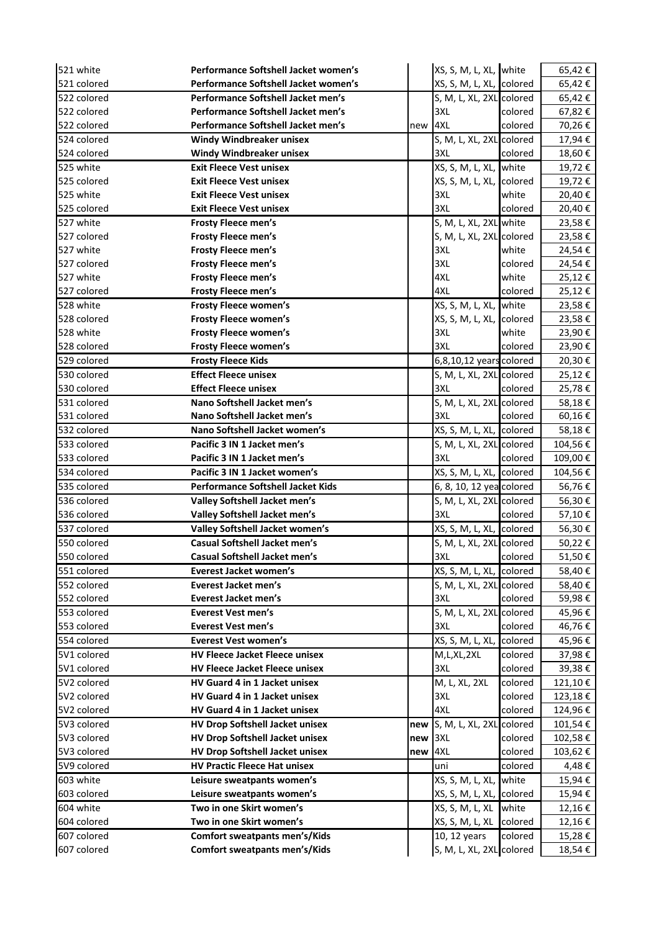| 521 white   | Performance Softshell Jacket women's     |     | XS, S, M, L, XL, Iwhite   |         | 65,42€  |
|-------------|------------------------------------------|-----|---------------------------|---------|---------|
| 521 colored | Performance Softshell Jacket women's     |     | XS, S, M, L, XL, colored  |         | 65,42€  |
| 522 colored | Performance Softshell Jacket men's       |     | S, M, L, XL, 2XL colored  |         | 65,42€  |
| 522 colored | Performance Softshell Jacket men's       |     | 3XL                       | colored | 67,82€  |
| 522 colored | Performance Softshell Jacket men's       | new | 4XL                       | colored | 70,26€  |
| 524 colored | Windy Windbreaker unisex                 |     | S, M, L, XL, 2XL colored  |         | 17,94€  |
| 524 colored | <b>Windy Windbreaker unisex</b>          |     | 3XL                       | colored | 18,60€  |
| 525 white   | <b>Exit Fleece Vest unisex</b>           |     | XS, S, M, L, XL, Iwhite   |         | 19,72€  |
| 525 colored | <b>Exit Fleece Vest unisex</b>           |     | XS, S, M, L, XL, colored  |         | 19,72€  |
| 525 white   | <b>Exit Fleece Vest unisex</b>           |     | 3XL                       | white   | 20,40€  |
| 525 colored | <b>Exit Fleece Vest unisex</b>           |     | 3XL                       | colored | 20,40€  |
| 527 white   | <b>Frosty Fleece men's</b>               |     | S, M, L, XL, 2XL white    |         | 23,58€  |
| 527 colored | Frosty Fleece men's                      |     | S, M, L, XL, 2XL colored  |         | 23,58€  |
| 527 white   | Frosty Fleece men's                      |     | 3XL                       | white   | 24,54€  |
| 527 colored | Frosty Fleece men's                      |     | 3XL                       | colored | 24,54€  |
| 527 white   | Frosty Fleece men's                      |     | 4XL                       | white   | 25,12€  |
| 527 colored | Frosty Fleece men's                      |     | 4XL                       | colored | 25,12€  |
| 528 white   | Frosty Fleece women's                    |     | XS, S, M, L, XL, Iwhite   |         | 23,58€  |
| 528 colored | Frosty Fleece women's                    |     | XS, S, M, L, XL, colored  |         | 23,58€  |
| 528 white   | Frosty Fleece women's                    |     | 3XL                       | white   | 23,90€  |
| 528 colored | Frosty Fleece women's                    |     | 3XL                       | colored | 23,90€  |
| 529 colored | <b>Frosty Fleece Kids</b>                |     | 6,8,10,12 years colored   |         | 20,30€  |
| 530 colored | <b>Effect Fleece unisex</b>              |     | S, M, L, XL, 2XL colored  |         | 25,12€  |
| 530 colored | <b>Effect Fleece unisex</b>              |     | 3XL                       | colored | 25,78€  |
| 531 colored | Nano Softshell Jacket men's              |     | S, M, L, XL, 2XL colored  |         | 58,18€  |
| 531 colored | Nano Softshell Jacket men's              |     | 3XL                       | colored | 60,16€  |
| 532 colored | Nano Softshell Jacket women's            |     | XS, S, M, L, XL, colored  |         | 58,18€  |
| 533 colored | Pacific 3 IN 1 Jacket men's              |     | S, M, L, XL, 2XL colored  |         | 104,56€ |
| 533 colored | Pacific 3 IN 1 Jacket men's              |     | 3XL                       | colored | 109,00€ |
| 534 colored | Pacific 3 IN 1 Jacket women's            |     | XS, S, M, L, XL, Icolored |         | 104,56€ |
| 535 colored | <b>Performance Softshell Jacket Kids</b> |     | 6, 8, 10, 12 yea colored  |         | 56,76€  |
| 536 colored | Valley Softshell Jacket men's            |     | S, M, L, XL, 2XL colored  |         | 56,30€  |
| 536 colored | Valley Softshell Jacket men's            |     | 3XL                       | colored | 57,10€  |
| 537 colored | Valley Softshell Jacket women's          |     | XS, S, M, L, XL, colored  |         | 56,30€  |
| 550 colored | <b>Casual Softshell Jacket men's</b>     |     | S, M, L, XL, 2XL colored  |         | 50,22€  |
| 550 colored | Casual Softshell Jacket men's            |     | 3X1                       | colored | 51,50€  |
| 551 colored | <b>Everest Jacket women's</b>            |     | XS, S, M, L, XL, colored  |         | 58,40€  |
| 552 colored | <b>Everest Jacket men's</b>              |     | S, M, L, XL, 2XL colored  |         | 58,40€  |
| 552 colored | <b>Everest Jacket men's</b>              |     | 3XL                       | colored | 59,98€  |
| 553 colored | <b>Everest Vest men's</b>                |     | S, M, L, XL, 2XL colored  |         | 45,96€  |
| 553 colored | <b>Everest Vest men's</b>                |     | 3XL                       | colored | 46,76€  |
| 554 colored | <b>Everest Vest women's</b>              |     | XS, S, M, L, XL, colored  |         | 45,96€  |
| 5V1 colored | <b>HV Fleece Jacket Fleece unisex</b>    |     | M,L,XL,2XL                | colored | 37,98€  |
| 5V1 colored | HV Fleece Jacket Fleece unisex           |     | 3XL                       | colored | 39,38€  |
| 5V2 colored | HV Guard 4 in 1 Jacket unisex            |     | M, L, XL, 2XL             | colored | 121,10€ |
| 5V2 colored | HV Guard 4 in 1 Jacket unisex            |     | 3XL                       | colored | 123,18€ |
| 5V2 colored | HV Guard 4 in 1 Jacket unisex            |     | 4XL                       | colored | 124,96€ |
| 5V3 colored | HV Drop Softshell Jacket unisex          | new | S, M, L, XL, 2XL colored  |         | 101,54€ |
| 5V3 colored | HV Drop Softshell Jacket unisex          | new | 3XL                       | colored | 102,58€ |
| 5V3 colored | HV Drop Softshell Jacket unisex          | new | 4XL                       | colored | 103,62€ |
| 5V9 colored | <b>HV Practic Fleece Hat unisex</b>      |     | uni                       | colored | 4,48€   |
| 603 white   | Leisure sweatpants women's               |     | XS, S, M, L, XL, white    |         | 15,94€  |
| 603 colored | Leisure sweatpants women's               |     | XS, S, M, L, XL, colored  |         | 15,94€  |
| 604 white   | Two in one Skirt women's                 |     | XS, S, M, L, XL white     |         | 12,16€  |
| 604 colored | Two in one Skirt women's                 |     | XS, S, M, L, XL colored   |         | 12,16€  |
| 607 colored | <b>Comfort sweatpants men's/Kids</b>     |     | 10, 12 years              | colored | 15,28€  |
| 607 colored | <b>Comfort sweatpants men's/Kids</b>     |     | S, M, L, XL, 2XL colored  |         | 18,54€  |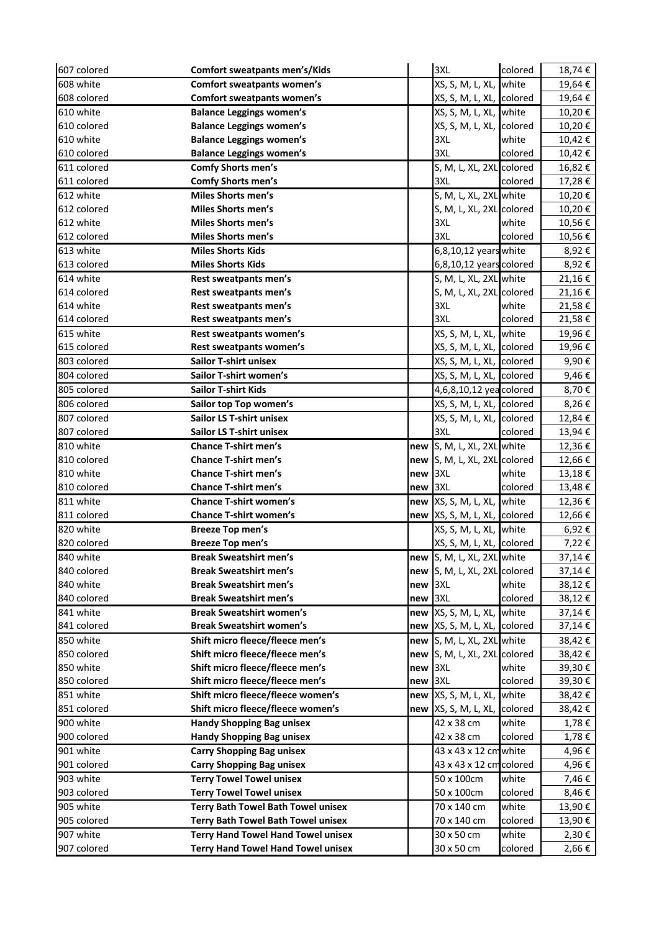| 607 colored              | <b>Comfort sweatpants men's/Kids</b>                                                                                                                                                                                                                                                                                                                                                                                                                                                                                                                                                                                                                                                                                                                                                                                                                                                           |           | 3XL                            | colored          | 18,74€           |
|--------------------------|------------------------------------------------------------------------------------------------------------------------------------------------------------------------------------------------------------------------------------------------------------------------------------------------------------------------------------------------------------------------------------------------------------------------------------------------------------------------------------------------------------------------------------------------------------------------------------------------------------------------------------------------------------------------------------------------------------------------------------------------------------------------------------------------------------------------------------------------------------------------------------------------|-----------|--------------------------------|------------------|------------------|
| 608 white                | <b>Comfort sweatpants women's</b>                                                                                                                                                                                                                                                                                                                                                                                                                                                                                                                                                                                                                                                                                                                                                                                                                                                              |           | XS, S, M, L, XL, Iwhite        |                  | 19,64€           |
| 608 colored              | <b>Comfort sweatpants women's</b>                                                                                                                                                                                                                                                                                                                                                                                                                                                                                                                                                                                                                                                                                                                                                                                                                                                              |           | XS, S, M, L, XL, Icolored      |                  | 19,64€           |
| 610 white                | <b>Balance Leggings women's</b>                                                                                                                                                                                                                                                                                                                                                                                                                                                                                                                                                                                                                                                                                                                                                                                                                                                                |           | XS, S, M, L, XL, Iwhite        |                  | 10,20€           |
| 610 colored              | <b>Balance Leggings women's</b>                                                                                                                                                                                                                                                                                                                                                                                                                                                                                                                                                                                                                                                                                                                                                                                                                                                                |           | XS, S, M, L, XL, Icolored      |                  | 10,20€           |
| 610 white                | <b>Balance Leggings women's</b>                                                                                                                                                                                                                                                                                                                                                                                                                                                                                                                                                                                                                                                                                                                                                                                                                                                                |           | 3XL                            | white            | 10,42€           |
| 610 colored              | <b>Balance Leggings women's</b>                                                                                                                                                                                                                                                                                                                                                                                                                                                                                                                                                                                                                                                                                                                                                                                                                                                                |           | 3XL                            | colored          | 10,42€           |
| 611 colored              | <b>Comfy Shorts men's</b>                                                                                                                                                                                                                                                                                                                                                                                                                                                                                                                                                                                                                                                                                                                                                                                                                                                                      |           | S, M, L, XL, 2XL colored       |                  | 16,82€           |
| 611 colored              | Comfy Shorts men's                                                                                                                                                                                                                                                                                                                                                                                                                                                                                                                                                                                                                                                                                                                                                                                                                                                                             |           | 3XL                            | colored          | 17,28€           |
| 612 white                | <b>Miles Shorts men's</b>                                                                                                                                                                                                                                                                                                                                                                                                                                                                                                                                                                                                                                                                                                                                                                                                                                                                      |           | S, M, L, XL, 2XL white         |                  | 10,20€           |
| 612 colored              | Miles Shorts men's                                                                                                                                                                                                                                                                                                                                                                                                                                                                                                                                                                                                                                                                                                                                                                                                                                                                             |           | S, M, L, XL, 2XL colored       |                  | 10,20€           |
| 612 white                | <b>Miles Shorts men's</b>                                                                                                                                                                                                                                                                                                                                                                                                                                                                                                                                                                                                                                                                                                                                                                                                                                                                      |           | 3XL                            | white            | 10,56€           |
| 612 colored              | Miles Shorts men's                                                                                                                                                                                                                                                                                                                                                                                                                                                                                                                                                                                                                                                                                                                                                                                                                                                                             |           | 3XL                            | colored          | 10,56€           |
| 613 white                | <b>Miles Shorts Kids</b>                                                                                                                                                                                                                                                                                                                                                                                                                                                                                                                                                                                                                                                                                                                                                                                                                                                                       |           | 6,8,10,12 years white          |                  | 8,92€            |
| 613 colored              | <b>Miles Shorts Kids</b>                                                                                                                                                                                                                                                                                                                                                                                                                                                                                                                                                                                                                                                                                                                                                                                                                                                                       |           | 6,8,10,12 years colored        |                  | 8,92€            |
| 614 white                | Rest sweatpants men's                                                                                                                                                                                                                                                                                                                                                                                                                                                                                                                                                                                                                                                                                                                                                                                                                                                                          |           | S, M, L, XL, 2XL white         |                  | 21,16€           |
| 614 colored              | Rest sweatpants men's                                                                                                                                                                                                                                                                                                                                                                                                                                                                                                                                                                                                                                                                                                                                                                                                                                                                          |           | S, M, L, XL, 2XL colored       |                  | 21,16€           |
| 614 white                | Rest sweatpants men's                                                                                                                                                                                                                                                                                                                                                                                                                                                                                                                                                                                                                                                                                                                                                                                                                                                                          |           | 3XL                            | white            | 21,58€           |
| 614 colored              | Rest sweatpants men's                                                                                                                                                                                                                                                                                                                                                                                                                                                                                                                                                                                                                                                                                                                                                                                                                                                                          |           | 3XL                            | colored          | 21,58€           |
| 615 white                | Rest sweatpants women's                                                                                                                                                                                                                                                                                                                                                                                                                                                                                                                                                                                                                                                                                                                                                                                                                                                                        |           | XS, S, M, L, XL, white         |                  | 19,96€           |
| 615 colored              | Rest sweatpants women's                                                                                                                                                                                                                                                                                                                                                                                                                                                                                                                                                                                                                                                                                                                                                                                                                                                                        |           | XS, S, M, L, XL, colored       |                  | 19,96€           |
| 803 colored              | <b>Sailor T-shirt unisex</b>                                                                                                                                                                                                                                                                                                                                                                                                                                                                                                                                                                                                                                                                                                                                                                                                                                                                   |           | XS, S, M, L, XL, colored       |                  | 9,90€            |
| 804 colored              | Sailor T-shirt women's                                                                                                                                                                                                                                                                                                                                                                                                                                                                                                                                                                                                                                                                                                                                                                                                                                                                         |           | XS, S, M, L, XL, colored       |                  | 9,46€            |
| 805 colored              | <b>Sailor T-shirt Kids</b>                                                                                                                                                                                                                                                                                                                                                                                                                                                                                                                                                                                                                                                                                                                                                                                                                                                                     |           | 4,6,8,10,12 yea colored        |                  | 8,70€            |
| 806 colored              | Sailor top Top women's                                                                                                                                                                                                                                                                                                                                                                                                                                                                                                                                                                                                                                                                                                                                                                                                                                                                         |           | XS, S, M, L, XL, Icolored      |                  | 8,26€            |
| 807 colored              | <b>Sailor LS T-shirt unisex</b>                                                                                                                                                                                                                                                                                                                                                                                                                                                                                                                                                                                                                                                                                                                                                                                                                                                                |           | XS, S, M, L, XL, colored       |                  | 12,84€           |
| 807 colored              | <b>Sailor LS T-shirt unisex</b>                                                                                                                                                                                                                                                                                                                                                                                                                                                                                                                                                                                                                                                                                                                                                                                                                                                                |           | 3XL                            | colored          | 13,94€           |
| 810 white                | <b>Chance T-shirt men's</b>                                                                                                                                                                                                                                                                                                                                                                                                                                                                                                                                                                                                                                                                                                                                                                                                                                                                    |           | new S, M, L, XL, 2XL white     |                  | 12,36€           |
| 810 colored              | <b>Chance T-shirt men's</b>                                                                                                                                                                                                                                                                                                                                                                                                                                                                                                                                                                                                                                                                                                                                                                                                                                                                    |           | new S, M, L, XL, 2XL colored   |                  | 12,66€           |
| 810 white                | <b>Chance T-shirt men's</b>                                                                                                                                                                                                                                                                                                                                                                                                                                                                                                                                                                                                                                                                                                                                                                                                                                                                    | $new$ 3XL |                                | white            | 13,18€           |
| 810 colored              | <b>Chance T-shirt men's</b>                                                                                                                                                                                                                                                                                                                                                                                                                                                                                                                                                                                                                                                                                                                                                                                                                                                                    | new       | 3XL                            | colored          | 13,48€           |
| 811 white                | <b>Chance T-shirt women's</b>                                                                                                                                                                                                                                                                                                                                                                                                                                                                                                                                                                                                                                                                                                                                                                                                                                                                  |           | new  XS, S, M, L, XL, Iwhite   |                  | 12,36€           |
| 811 colored              | <b>Chance T-shirt women's</b>                                                                                                                                                                                                                                                                                                                                                                                                                                                                                                                                                                                                                                                                                                                                                                                                                                                                  |           | new  XS, S, M, L, XL, lcolored |                  | 12,66€           |
| 820 white                | <b>Breeze Top men's</b>                                                                                                                                                                                                                                                                                                                                                                                                                                                                                                                                                                                                                                                                                                                                                                                                                                                                        |           | XS, S, M, L, XL, Iwhite        |                  | 6,92€            |
| 820 colored              | <b>Breeze Top men's</b>                                                                                                                                                                                                                                                                                                                                                                                                                                                                                                                                                                                                                                                                                                                                                                                                                                                                        |           | XS, S, M, L, XL, Icolored      |                  | 7,22€            |
| 840 white                | <b>Break Sweatshirt men's</b>                                                                                                                                                                                                                                                                                                                                                                                                                                                                                                                                                                                                                                                                                                                                                                                                                                                                  |           | new S, M, L, XL, 2XL white     |                  | 37,14€           |
| 840 colored              | <b>Break Sweatshirt men's</b>                                                                                                                                                                                                                                                                                                                                                                                                                                                                                                                                                                                                                                                                                                                                                                                                                                                                  |           | new S, M, L, XL, 2XL colored   |                  | 37,14€           |
| 840 white                | <b>Break Sweatshirt men's</b>                                                                                                                                                                                                                                                                                                                                                                                                                                                                                                                                                                                                                                                                                                                                                                                                                                                                  | new       | 3XL                            | white            | 38,12€           |
| 840 colored              |                                                                                                                                                                                                                                                                                                                                                                                                                                                                                                                                                                                                                                                                                                                                                                                                                                                                                                |           |                                | colored          | 38,12€           |
| 841 white                |                                                                                                                                                                                                                                                                                                                                                                                                                                                                                                                                                                                                                                                                                                                                                                                                                                                                                                |           |                                |                  | 37,14€           |
| 841 colored              |                                                                                                                                                                                                                                                                                                                                                                                                                                                                                                                                                                                                                                                                                                                                                                                                                                                                                                |           | XS, S, M, L, XL, colored       |                  | 37,14€           |
| 850 white                |                                                                                                                                                                                                                                                                                                                                                                                                                                                                                                                                                                                                                                                                                                                                                                                                                                                                                                |           | S, M, L, XL, 2XL white         |                  | 38,42€           |
| 850 colored<br>850 white |                                                                                                                                                                                                                                                                                                                                                                                                                                                                                                                                                                                                                                                                                                                                                                                                                                                                                                |           | S, M, L, XL, 2XL colored       |                  | 38,42€           |
| 850 colored              |                                                                                                                                                                                                                                                                                                                                                                                                                                                                                                                                                                                                                                                                                                                                                                                                                                                                                                |           |                                | white<br>colored | 39,30€<br>39,30€ |
| 851 white                |                                                                                                                                                                                                                                                                                                                                                                                                                                                                                                                                                                                                                                                                                                                                                                                                                                                                                                |           |                                |                  |                  |
| 851 colored              |                                                                                                                                                                                                                                                                                                                                                                                                                                                                                                                                                                                                                                                                                                                                                                                                                                                                                                |           |                                |                  | 38,42€<br>38,42€ |
| 900 white                |                                                                                                                                                                                                                                                                                                                                                                                                                                                                                                                                                                                                                                                                                                                                                                                                                                                                                                |           | 42 x 38 cm                     | white            | 1,78€            |
| 900 colored              |                                                                                                                                                                                                                                                                                                                                                                                                                                                                                                                                                                                                                                                                                                                                                                                                                                                                                                |           | 42 x 38 cm                     | colored          | 1,78€            |
| 901 white                |                                                                                                                                                                                                                                                                                                                                                                                                                                                                                                                                                                                                                                                                                                                                                                                                                                                                                                |           | 43 x 43 x 12 cm white          |                  | 4,96€            |
| 901 colored              |                                                                                                                                                                                                                                                                                                                                                                                                                                                                                                                                                                                                                                                                                                                                                                                                                                                                                                |           | 43 x 43 x 12 cm colored        |                  | 4,96€            |
| 903 white                |                                                                                                                                                                                                                                                                                                                                                                                                                                                                                                                                                                                                                                                                                                                                                                                                                                                                                                |           | 50 x 100cm                     | white            | 7,46€            |
| 903 colored              |                                                                                                                                                                                                                                                                                                                                                                                                                                                                                                                                                                                                                                                                                                                                                                                                                                                                                                |           | 50 x 100cm                     | colored          | 8,46€            |
| 905 white                |                                                                                                                                                                                                                                                                                                                                                                                                                                                                                                                                                                                                                                                                                                                                                                                                                                                                                                |           | 70 x 140 cm                    | white            | 13,90€           |
| 905 colored              |                                                                                                                                                                                                                                                                                                                                                                                                                                                                                                                                                                                                                                                                                                                                                                                                                                                                                                |           | 70 x 140 cm                    | colored          | 13,90€           |
| 907 white                |                                                                                                                                                                                                                                                                                                                                                                                                                                                                                                                                                                                                                                                                                                                                                                                                                                                                                                |           | 30 x 50 cm                     | white            | 2,30€            |
| 907 colored              | <b>Break Sweatshirt men's</b><br>new 3XL<br>new XS, S, M, L, XL, white<br><b>Break Sweatshirt women's</b><br><b>Break Sweatshirt women's</b><br>new<br>Shift micro fleece/fleece men's<br>new  <br>Shift micro fleece/fleece men's<br>new<br>Shift micro fleece/fleece men's<br>3XL<br>new<br>Shift micro fleece/fleece men's<br>3XL<br>new<br>Shift micro fleece/fleece women's<br>new XS, S, M, L, XL, white<br>Shift micro fleece/fleece women's<br>new XS, S, M, L, XL, Icolored<br><b>Handy Shopping Bag unisex</b><br><b>Handy Shopping Bag unisex</b><br><b>Carry Shopping Bag unisex</b><br><b>Carry Shopping Bag unisex</b><br><b>Terry Towel Towel unisex</b><br><b>Terry Towel Towel unisex</b><br><b>Terry Bath Towel Bath Towel unisex</b><br><b>Terry Bath Towel Bath Towel unisex</b><br><b>Terry Hand Towel Hand Towel unisex</b><br><b>Terry Hand Towel Hand Towel unisex</b> |           | 30 x 50 cm                     | colored          | 2,66€            |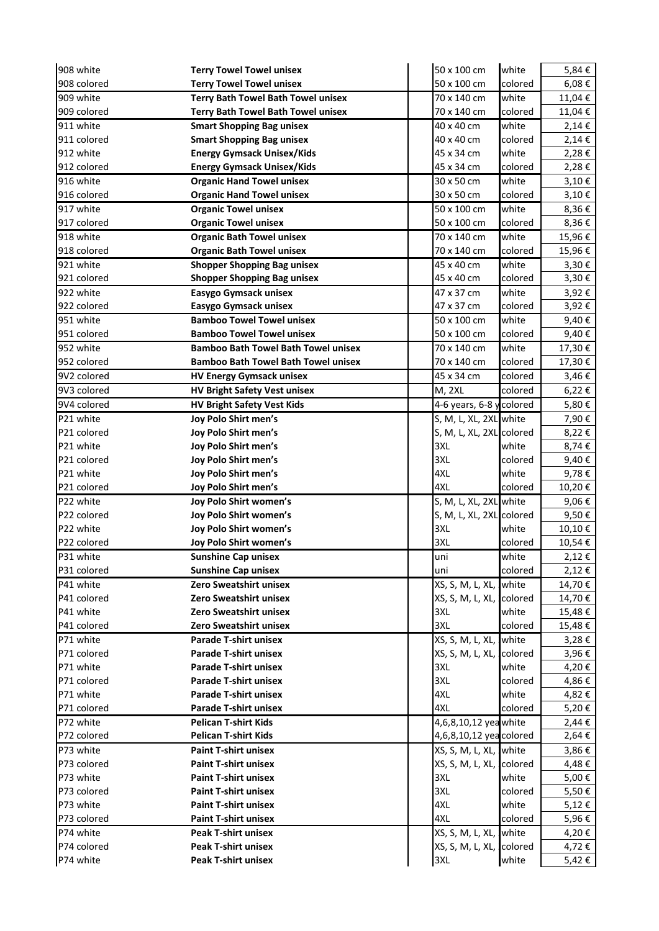| 908 white   | <b>Terry Towel Towel unisex</b>            | 50 x 100 cm                | white   | 5,84€      |
|-------------|--------------------------------------------|----------------------------|---------|------------|
| 908 colored | <b>Terry Towel Towel unisex</b>            | 50 x 100 cm                | colored | $6,08 \in$ |
| 909 white   | <b>Terry Bath Towel Bath Towel unisex</b>  | 70 x 140 cm                | white   | 11,04€     |
| 909 colored | <b>Terry Bath Towel Bath Towel unisex</b>  | 70 x 140 cm                | colored | 11,04€     |
| 911 white   | <b>Smart Shopping Bag unisex</b>           | 40 x 40 cm                 | white   | 2,14€      |
| 911 colored | <b>Smart Shopping Bag unisex</b>           | 40 x 40 cm                 | colored | 2,14€      |
| 912 white   | <b>Energy Gymsack Unisex/Kids</b>          | 45 x 34 cm                 | white   | 2,28€      |
| 912 colored | <b>Energy Gymsack Unisex/Kids</b>          | 45 x 34 cm                 | colored | 2,28€      |
| 916 white   | <b>Organic Hand Towel unisex</b>           | 30 x 50 cm                 | white   | 3,10€      |
| 916 colored | <b>Organic Hand Towel unisex</b>           | 30 x 50 cm                 | colored | 3,10€      |
| 917 white   | <b>Organic Towel unisex</b>                | 50 x 100 cm                | white   | 8,36€      |
| 917 colored | <b>Organic Towel unisex</b>                | 50 x 100 cm                | colored | 8,36€      |
| 918 white   | <b>Organic Bath Towel unisex</b>           | 70 x 140 cm                | white   | 15,96€     |
| 918 colored | <b>Organic Bath Towel unisex</b>           | 70 x 140 cm                | colored | 15,96€     |
| 921 white   | <b>Shopper Shopping Bag unisex</b>         | 45 x 40 cm                 | white   | 3,30€      |
| 921 colored | <b>Shopper Shopping Bag unisex</b>         | 45 x 40 cm                 | colored | 3,30€      |
| 922 white   | Easygo Gymsack unisex                      | 47 x 37 cm                 | white   | 3,92€      |
| 922 colored | Easygo Gymsack unisex                      | 47 x 37 cm                 | colored | 3,92€      |
| 951 white   | <b>Bamboo Towel Towel unisex</b>           | 50 x 100 cm                | white   | 9,40€      |
| 951 colored | <b>Bamboo Towel Towel unisex</b>           | 50 x 100 cm                | colored | 9,40€      |
|             |                                            |                            |         |            |
| 952 white   | <b>Bamboo Bath Towel Bath Towel unisex</b> | 70 x 140 cm<br>70 x 140 cm | white   | 17,30€     |
| 952 colored | <b>Bamboo Bath Towel Bath Towel unisex</b> |                            | colored | 17,30€     |
| 9V2 colored | <b>HV Energy Gymsack unisex</b>            | 45 x 34 cm                 | colored | 3,46€      |
| 9V3 colored | <b>HV Bright Safety Vest unisex</b>        | <b>M, 2XL</b>              | colored | 6,22€      |
| 9V4 colored | <b>HV Bright Safety Vest Kids</b>          | 4-6 years, 6-8 ycolored    |         | 5,80€      |
| P21 white   | Joy Polo Shirt men's                       | S, M, L, XL, 2XL white     |         | 7,90€      |
| P21 colored | Joy Polo Shirt men's                       | S, M, L, XL, 2XL colored   |         | 8,22€      |
| P21 white   | Joy Polo Shirt men's                       | 3XL                        | white   | 8,74€      |
|             | Joy Polo Shirt men's                       | 3XL                        | colored |            |
| P21 colored |                                            |                            |         | 9,40€      |
| P21 white   | Joy Polo Shirt men's                       | 4XL                        | white   | 9,78€      |
| P21 colored | Joy Polo Shirt men's                       | 4XL                        | colored | 10,20€     |
| P22 white   | Joy Polo Shirt women's                     | S, M, L, XL, 2XL white     |         | 9,06€      |
| P22 colored | Joy Polo Shirt women's                     | S, M, L, XL, 2XL colored   |         | 9,50€      |
| P22 white   | Joy Polo Shirt women's                     | 3XL                        | white   | 10,10€     |
| P22 colored | Joy Polo Shirt women's                     | 3XL                        | colored | 10,54€     |
| P31 white   | <b>Sunshine Cap unisex</b>                 | uni                        | white   | 2,12€      |
| P31 colored | <b>Sunshine Cap unisex</b>                 | uni                        | colored | 2,12€      |
| P41 white   | Zero Sweatshirt unisex                     | XS, S, M, L, XL, white     |         | 14,70€     |
| P41 colored | Zero Sweatshirt unisex                     | XS, S, M, L, XL, colored   |         | 14,70€     |
| P41 white   | Zero Sweatshirt unisex                     | 3XL                        | white   | 15,48€     |
| P41 colored | Zero Sweatshirt unisex                     | 3XL                        | colored | 15,48€     |
| P71 white   | <b>Parade T-shirt unisex</b>               | XS, S, M, L, XL, white     |         | 3,28€      |
| P71 colored | <b>Parade T-shirt unisex</b>               | XS, S, M, L, XL, colored   |         | 3,96€      |
| P71 white   | <b>Parade T-shirt unisex</b>               | 3XL                        | white   | 4,20€      |
| P71 colored | <b>Parade T-shirt unisex</b>               | 3XL                        | colored | 4,86€      |
| P71 white   | <b>Parade T-shirt unisex</b>               | 4XL                        | white   | 4,82€      |
| P71 colored | <b>Parade T-shirt unisex</b>               | 4XL                        | colored | 5,20€      |
| P72 white   | <b>Pelican T-shirt Kids</b>                | 4,6,8,10,12 yea white      |         | 2,44€      |
| P72 colored | <b>Pelican T-shirt Kids</b>                | 4,6,8,10,12 yea colored    |         | 2,64€      |
| P73 white   | <b>Paint T-shirt unisex</b>                | XS, S, M, L, XL, white     |         | 3,86€      |
| P73 colored | <b>Paint T-shirt unisex</b>                | XS, S, M, L, XL, colored   |         | 4,48€      |
| P73 white   | <b>Paint T-shirt unisex</b>                | 3XL                        | white   | 5,00€      |
| P73 colored | <b>Paint T-shirt unisex</b>                | 3XL                        | colored | 5,50€      |
| P73 white   | <b>Paint T-shirt unisex</b>                | 4XL                        | white   | 5,12€      |
| P73 colored | <b>Paint T-shirt unisex</b>                | 4XL                        | colored | 5,96€      |
| P74 white   | <b>Peak T-shirt unisex</b>                 | XS, S, M, L, XL, white     |         | 4,20€      |
| P74 colored | <b>Peak T-shirt unisex</b>                 | XS, S, M, L, XL, colored   |         | 4,72 €     |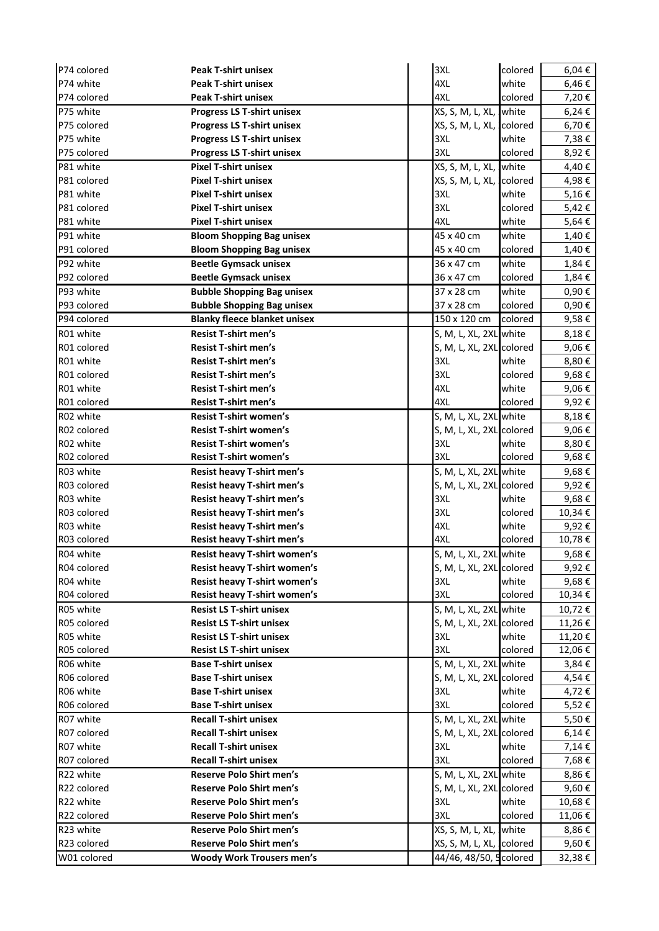| P74 colored | <b>Peak T-shirt unisex</b>          | 3XL                       | colored | 6,04€           |
|-------------|-------------------------------------|---------------------------|---------|-----------------|
| P74 white   | <b>Peak T-shirt unisex</b>          | 4XL                       | white   | 6,46€           |
| P74 colored | <b>Peak T-shirt unisex</b>          | 4XL                       | colored | 7,20€           |
| P75 white   | <b>Progress LS T-shirt unisex</b>   | XS, S, M, L, XL, Iwhite   |         | $6,24 \in$      |
| P75 colored | <b>Progress LS T-shirt unisex</b>   | XS, S, M, L, XL, Icolored |         | 6,70€           |
| P75 white   | <b>Progress LS T-shirt unisex</b>   | 3XL                       | white   | 7,38€           |
| P75 colored | <b>Progress LS T-shirt unisex</b>   | 3XL                       | colored | 8,92€           |
| P81 white   | <b>Pixel T-shirt unisex</b>         | XS, S, M, L, XL, Iwhite   |         | 4,40€           |
| P81 colored | <b>Pixel T-shirt unisex</b>         | XS, S, M, L, XL, colored  |         | 4,98€           |
| P81 white   | <b>Pixel T-shirt unisex</b>         | 3XL                       | white   | 5,16€           |
| P81 colored | <b>Pixel T-shirt unisex</b>         | 3XL                       | colored | 5,42€           |
| P81 white   | <b>Pixel T-shirt unisex</b>         | 4XL                       | white   | 5,64€           |
| P91 white   | <b>Bloom Shopping Bag unisex</b>    | 45 x 40 cm                | white   | 1,40€           |
| P91 colored | <b>Bloom Shopping Bag unisex</b>    | 45 x 40 cm                | colored | 1,40€           |
| P92 white   | <b>Beetle Gymsack unisex</b>        | 36 x 47 cm                | white   | 1,84 €          |
| P92 colored | <b>Beetle Gymsack unisex</b>        | 36 x 47 cm                | colored | 1,84€           |
| P93 white   | <b>Bubble Shopping Bag unisex</b>   | 37 x 28 cm                | white   | 0,90€           |
| P93 colored | <b>Bubble Shopping Bag unisex</b>   | 37 x 28 cm                | colored | 0,90€           |
| P94 colored | <b>Blanky fleece blanket unisex</b> | 150 x 120 cm              | colored | 9,58€           |
| R01 white   | <b>Resist T-shirt men's</b>         | S, M, L, XL, 2XL white    |         | 8,18€           |
| R01 colored | <b>Resist T-shirt men's</b>         | S, M, L, XL, 2XL colored  |         | 9,06€           |
| R01 white   | <b>Resist T-shirt men's</b>         | 3XL                       | white   | 8,80€           |
| R01 colored | <b>Resist T-shirt men's</b>         | 3XL                       | colored | 9,68€           |
| R01 white   | <b>Resist T-shirt men's</b>         | 4XL                       | white   | 9,06 $\epsilon$ |
| R01 colored | <b>Resist T-shirt men's</b>         | 4XL                       | colored | 9,92€           |
| R02 white   | <b>Resist T-shirt women's</b>       | S, M, L, XL, 2XL white    |         | 8,18€           |
| R02 colored | <b>Resist T-shirt women's</b>       | S, M, L, XL, 2XL colored  |         | 9,06 $\epsilon$ |
| R02 white   | <b>Resist T-shirt women's</b>       | 3XL                       | white   | 8,80€           |
| R02 colored | <b>Resist T-shirt women's</b>       | 3XL                       | colored | 9,68€           |
| R03 white   | Resist heavy T-shirt men's          | S, M, L, XL, 2XL white    |         | 9,68€           |
| R03 colored | Resist heavy T-shirt men's          | S, M, L, XL, 2XL colored  |         | 9,92€           |
| R03 white   | Resist heavy T-shirt men's          | 3XL                       | white   | 9,68€           |
| R03 colored | <b>Resist heavy T-shirt men's</b>   | 3XL                       | colored | 10,34€          |
| R03 white   | Resist heavy T-shirt men's          | 4XL                       | white   | 9,92€           |
| R03 colored | Resist heavy T-shirt men's          | 4XL                       | colored | 10,78€          |
| R04 white   | Resist heavy T-shirt women's        | S, M, L, XL, 2XL white    |         | 9,68€           |
| R04 colored | <b>Resist heavy T-shirt women's</b> | S, M, L, XL, 2XL colored  |         | 9,92€           |
| R04 white   | Resist heavy T-shirt women's        | 3XL                       | white   | 9,68€           |
| R04 colored | Resist heavy T-shirt women's        | 3XL                       | colored | 10,34€          |
| R05 white   | <b>Resist LS T-shirt unisex</b>     | S, M, L, XL, 2XL white    |         | 10,72€          |
| R05 colored | <b>Resist LS T-shirt unisex</b>     | S, M, L, XL, 2XL colored  |         | 11,26€          |
| R05 white   | <b>Resist LS T-shirt unisex</b>     | 3XL                       | white   | 11,20€          |
| R05 colored | <b>Resist LS T-shirt unisex</b>     | 3XL                       | colored | 12,06€          |
| R06 white   | <b>Base T-shirt unisex</b>          | S, M, L, XL, 2XL white    |         | 3,84€           |
| R06 colored | <b>Base T-shirt unisex</b>          | S, M, L, XL, 2XL colored  |         | 4,54€           |
| R06 white   | <b>Base T-shirt unisex</b>          | 3XL                       | white   | 4,72€           |
| R06 colored | <b>Base T-shirt unisex</b>          | 3XL                       | colored | 5,52€           |
| R07 white   | <b>Recall T-shirt unisex</b>        | S, M, L, XL, 2XL white    |         | 5,50€           |
| R07 colored | <b>Recall T-shirt unisex</b>        | S, M, L, XL, 2XL colored  |         | $6,14 \in$      |
| R07 white   | <b>Recall T-shirt unisex</b>        | 3XL                       | white   | 7,14 €          |
| R07 colored | <b>Recall T-shirt unisex</b>        | 3XL                       | colored | 7,68€           |
| R22 white   | Reserve Polo Shirt men's            | S, M, L, XL, 2XL white    |         | 8,86€           |
| R22 colored | <b>Reserve Polo Shirt men's</b>     | S, M, L, XL, 2XL colored  |         | 9,60€           |
| R22 white   | Reserve Polo Shirt men's            | 3XL                       | white   | 10,68€          |
| R22 colored | <b>Reserve Polo Shirt men's</b>     | 3XL                       | colored | 11,06€          |
| R23 white   | <b>Reserve Polo Shirt men's</b>     | XS, S, M, L, XL, white    |         | 8,86€           |
| R23 colored | Reserve Polo Shirt men's            | XS, S, M, L, XL, colored  |         | 9,60€           |
| W01 colored | <b>Woody Work Trousers men's</b>    | 44/46, 48/50, 5 colored   |         | 32,38€          |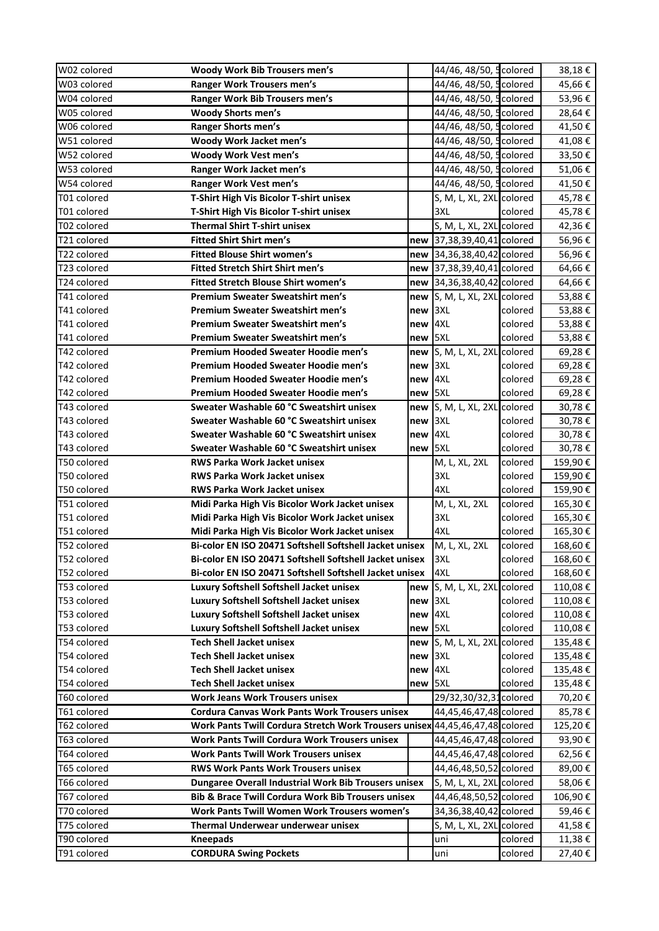| W02 colored | Woody Work Bib Trousers men's                                                |         | 44/46, 48/50, 5 colored      |                  | 38,18€  |
|-------------|------------------------------------------------------------------------------|---------|------------------------------|------------------|---------|
| W03 colored | <b>Ranger Work Trousers men's</b>                                            |         | 44/46, 48/50,                | <b>5</b> colored | 45,66€  |
| W04 colored | Ranger Work Bib Trousers men's                                               |         | 44/46, 48/50, 5 colored      |                  | 53,96€  |
| W05 colored | <b>Woody Shorts men's</b>                                                    |         | 44/46, 48/50, 5colored       |                  | 28,64€  |
| W06 colored | <b>Ranger Shorts men's</b>                                                   |         | 44/46, 48/50, 5 colored      |                  | 41,50€  |
| W51 colored | Woody Work Jacket men's                                                      |         | 44/46, 48/50, 5colored       |                  | 41,08€  |
| W52 colored | Woody Work Vest men's                                                        |         | 44/46, 48/50, 5 colored      |                  | 33,50€  |
| W53 colored | Ranger Work Jacket men's                                                     |         | 44/46, 48/50, 5 colored      |                  | 51,06€  |
| W54 colored | Ranger Work Vest men's                                                       |         | 44/46, 48/50, 5 colored      |                  | 41,50€  |
| T01 colored | T-Shirt High Vis Bicolor T-shirt unisex                                      |         | S, M, L, XL, 2XL colored     |                  | 45,78€  |
| T01 colored | T-Shirt High Vis Bicolor T-shirt unisex                                      |         | 3XL                          | colored          | 45,78€  |
| T02 colored | <b>Thermal Shirt T-shirt unisex</b>                                          |         | S, M, L, XL, 2XL colored     |                  | 42,36€  |
| T21 colored | <b>Fitted Shirt Shirt men's</b>                                              |         | new 37,38,39,40,41 colored   |                  | 56,96€  |
| T22 colored | <b>Fitted Blouse Shirt women's</b>                                           |         | new 34,36,38,40,42 colored   |                  | 56,96€  |
| T23 colored | <b>Fitted Stretch Shirt Shirt men's</b>                                      | new     | 37,38,39,40,41 colored       |                  | 64,66€  |
| T24 colored | <b>Fitted Stretch Blouse Shirt women's</b>                                   | new     | 34,36,38,40,42 colored       |                  | 64,66€  |
| T41 colored | <b>Premium Sweater Sweatshirt men's</b>                                      |         | new S, M, L, XL, 2XL colored |                  | 53,88€  |
| T41 colored | <b>Premium Sweater Sweatshirt men's</b>                                      | new 3XL |                              | colored          | 53,88€  |
| T41 colored | <b>Premium Sweater Sweatshirt men's</b>                                      | new 4XL |                              | colored          | 53,88€  |
| T41 colored | <b>Premium Sweater Sweatshirt men's</b>                                      | new 5XL |                              | colored          | 53,88€  |
| T42 colored | Premium Hooded Sweater Hoodie men's                                          |         | new S, M, L, XL, 2XL colored |                  | 69,28€  |
| T42 colored | Premium Hooded Sweater Hoodie men's                                          | new 3XL |                              | colored          | 69,28€  |
| T42 colored | Premium Hooded Sweater Hoodie men's                                          | new 4XL |                              | colored          | 69,28€  |
| T42 colored | Premium Hooded Sweater Hoodie men's                                          | new 5XL |                              | colored          | 69,28€  |
| T43 colored | Sweater Washable 60 °C Sweatshirt unisex                                     |         | new S, M, L, XL, 2XL colored |                  | 30,78€  |
| T43 colored | Sweater Washable 60 °C Sweatshirt unisex                                     | new 3XL |                              | colored          | 30,78€  |
| T43 colored | Sweater Washable 60 °C Sweatshirt unisex                                     | new 4XL |                              | colored          | 30,78€  |
| T43 colored | Sweater Washable 60 °C Sweatshirt unisex                                     | new 5XL |                              | colored          | 30,78€  |
| T50 colored | <b>RWS Parka Work Jacket unisex</b>                                          |         | M, L, XL, 2XL                | colored          | 159,90€ |
| T50 colored | <b>RWS Parka Work Jacket unisex</b>                                          |         | 3XL                          | colored          | 159,90€ |
| T50 colored | <b>RWS Parka Work Jacket unisex</b>                                          |         | 4XL                          | colored          | 159,90€ |
| T51 colored | Midi Parka High Vis Bicolor Work Jacket unisex                               |         | M, L, XL, 2XL                | colored          | 165,30€ |
| T51 colored | Midi Parka High Vis Bicolor Work Jacket unisex                               |         | 3XL                          | colored          | 165,30€ |
| T51 colored | Midi Parka High Vis Bicolor Work Jacket unisex                               |         | 4XL                          | colored          | 165,30€ |
| T52 colored | Bi-color EN ISO 20471 Softshell Softshell Jacket unisex                      |         | M, L, XL, 2XL                | colored          | 168,60€ |
| T52 colored | Bi-color EN ISO 20471 Softshell Softshell Jacket unisex                      |         |                              | colored          | 168,60€ |
| T52 colored | Bi-color EN ISO 20471 Softshell Softshell Jacket unisex                      |         | 4XL                          | colored          | 168,60€ |
| T53 colored | Luxury Softshell Softshell Jacket unisex                                     |         | new S, M, L, XL, 2XL colored |                  | 110,08€ |
| T53 colored | Luxury Softshell Softshell Jacket unisex                                     | new 3XL |                              | colored          | 110,08€ |
| T53 colored | Luxury Softshell Softshell Jacket unisex                                     | new 4XL |                              | colored          | 110,08€ |
| T53 colored | Luxury Softshell Softshell Jacket unisex                                     | new 5XL |                              | colored          | 110,08€ |
| T54 colored | <b>Tech Shell Jacket unisex</b>                                              |         | new S, M, L, XL, 2XL colored |                  | 135,48€ |
| T54 colored | <b>Tech Shell Jacket unisex</b>                                              | new 3XL |                              | colored          | 135,48€ |
| T54 colored | <b>Tech Shell Jacket unisex</b>                                              | new 4XL |                              | colored          | 135,48€ |
| T54 colored | <b>Tech Shell Jacket unisex</b>                                              | new 5XL |                              | colored          | 135,48€ |
| T60 colored | <b>Work Jeans Work Trousers unisex</b>                                       |         | 29/32,30/32,31 colored       |                  | 70,20€  |
| T61 colored | <b>Cordura Canvas Work Pants Work Trousers unisex</b>                        |         | 44,45,46,47,48 colored       |                  | 85,78€  |
| T62 colored | Work Pants Twill Cordura Stretch Work Trousers unisex 44,45,46,47,48 colored |         |                              |                  | 125,20€ |
|             |                                                                              |         |                              |                  |         |
| T63 colored | <b>Work Pants Twill Cordura Work Trousers unisex</b>                         |         | 44,45,46,47,48 colored       |                  | 93,90€  |
| T64 colored | <b>Work Pants Twill Work Trousers unisex</b>                                 |         | 44,45,46,47,48 colored       |                  | 62,56€  |
| T65 colored | <b>RWS Work Pants Work Trousers unisex</b>                                   |         | 44,46,48,50,52 colored       |                  | 89,00€  |
| T66 colored | <b>Dungaree Overall Industrial Work Bib Trousers unisex</b>                  |         | S, M, L, XL, 2XL colored     |                  | 58,06€  |
| T67 colored | Bib & Brace Twill Cordura Work Bib Trousers unisex                           |         | 44,46,48,50,52 colored       |                  | 106,90€ |
| T70 colored | Work Pants Twill Women Work Trousers women's                                 |         | 34,36,38,40,42 colored       |                  | 59,46€  |
| T75 colored | Thermal Underwear underwear unisex                                           |         | S, M, L, XL, 2XL colored     |                  | 41,58€  |
| T90 colored | <b>Kneepads</b>                                                              |         | uni                          | colored          | 11,38€  |
| T91 colored | <b>CORDURA Swing Pockets</b>                                                 |         | uni                          | colored          | 27,40€  |
|             |                                                                              |         |                              |                  |         |